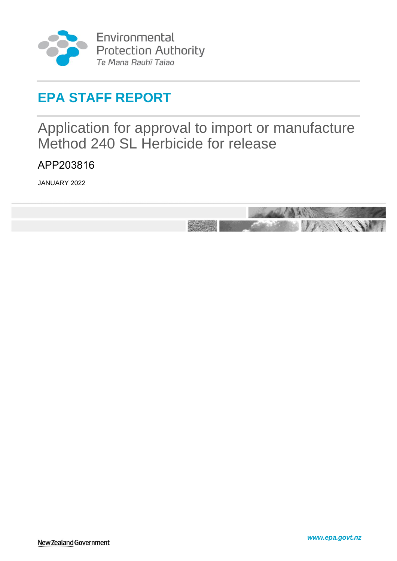

Environmental Protection Authority<br>Te Mana Rauhī Taiao

# **EPA STAFF REPORT**

<span id="page-0-0"></span>Application for approval to import or manufacture Method 240 SL Herbicide for release

<span id="page-0-1"></span>APP203816

JANUARY 2022

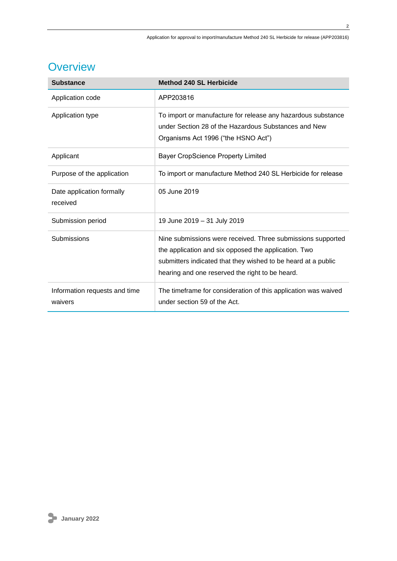# **Overview**

| <b>Substance</b>                         | <b>Method 240 SL Herbicide</b>                                                                                                                                                                                                          |
|------------------------------------------|-----------------------------------------------------------------------------------------------------------------------------------------------------------------------------------------------------------------------------------------|
| Application code                         | APP203816                                                                                                                                                                                                                               |
| Application type                         | To import or manufacture for release any hazardous substance<br>under Section 28 of the Hazardous Substances and New<br>Organisms Act 1996 ("the HSNO Act")                                                                             |
| Applicant                                | <b>Bayer CropScience Property Limited</b>                                                                                                                                                                                               |
| Purpose of the application               | To import or manufacture Method 240 SL Herbicide for release                                                                                                                                                                            |
| Date application formally<br>received    | 05 June 2019                                                                                                                                                                                                                            |
| Submission period                        | 19 June 2019 - 31 July 2019                                                                                                                                                                                                             |
| Submissions                              | Nine submissions were received. Three submissions supported<br>the application and six opposed the application. Two<br>submitters indicated that they wished to be heard at a public<br>hearing and one reserved the right to be heard. |
| Information requests and time<br>waivers | The timeframe for consideration of this application was waived<br>under section 59 of the Act.                                                                                                                                          |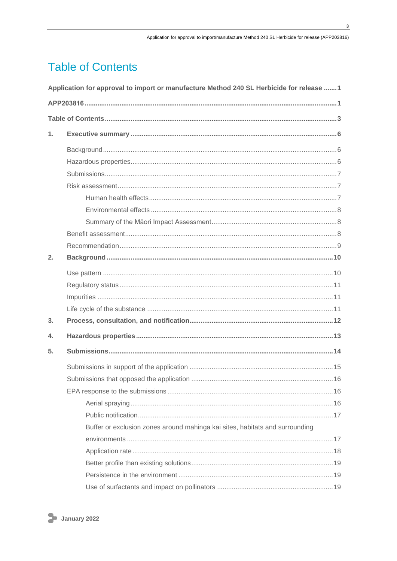$\overline{\mathbf{3}}$ 

# <span id="page-2-0"></span>**Table of Contents**

|                | Application for approval to import or manufacture Method 240 SL Herbicide for release 1 |
|----------------|-----------------------------------------------------------------------------------------|
|                |                                                                                         |
|                |                                                                                         |
| $\mathbf{1}$ . |                                                                                         |
|                |                                                                                         |
|                |                                                                                         |
|                |                                                                                         |
|                |                                                                                         |
|                |                                                                                         |
|                |                                                                                         |
|                |                                                                                         |
|                |                                                                                         |
|                |                                                                                         |
| 2.             |                                                                                         |
|                |                                                                                         |
|                |                                                                                         |
|                |                                                                                         |
|                |                                                                                         |
| 3.             |                                                                                         |
| 4.             |                                                                                         |
| 5.             |                                                                                         |
|                |                                                                                         |
|                |                                                                                         |
|                |                                                                                         |
|                |                                                                                         |
|                |                                                                                         |
|                | Buffer or exclusion zones around mahinga kai sites, habitats and surrounding            |
|                |                                                                                         |
|                |                                                                                         |
|                |                                                                                         |
|                |                                                                                         |
|                |                                                                                         |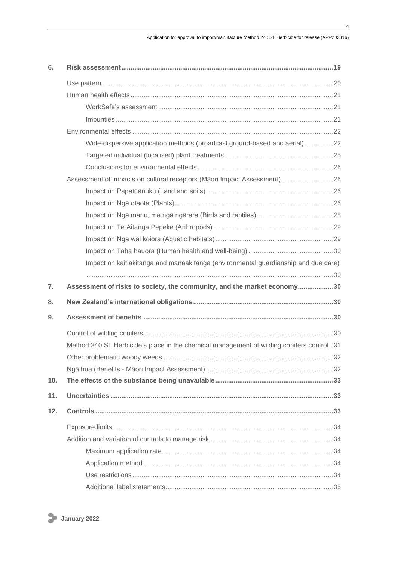| 6.  |                                                                                          |
|-----|------------------------------------------------------------------------------------------|
|     |                                                                                          |
|     |                                                                                          |
|     |                                                                                          |
|     |                                                                                          |
|     |                                                                                          |
|     | Wide-dispersive application methods (broadcast ground-based and aerial) 22               |
|     |                                                                                          |
|     |                                                                                          |
|     | Assessment of impacts on cultural receptors (Māori Impact Assessment) 26                 |
|     |                                                                                          |
|     |                                                                                          |
|     |                                                                                          |
|     |                                                                                          |
|     |                                                                                          |
|     |                                                                                          |
|     | Impact on kaitiakitanga and manaakitanga (environmental guardianship and due care)       |
|     |                                                                                          |
| 7.  | Assessment of risks to society, the community, and the market economy30                  |
| 8.  |                                                                                          |
| 9.  |                                                                                          |
|     |                                                                                          |
|     | Method 240 SL Herbicide's place in the chemical management of wilding conifers control31 |
|     |                                                                                          |
|     |                                                                                          |
| 10. |                                                                                          |
| 11. |                                                                                          |
| 12. |                                                                                          |
|     |                                                                                          |
|     |                                                                                          |
|     |                                                                                          |
|     |                                                                                          |
|     |                                                                                          |
|     |                                                                                          |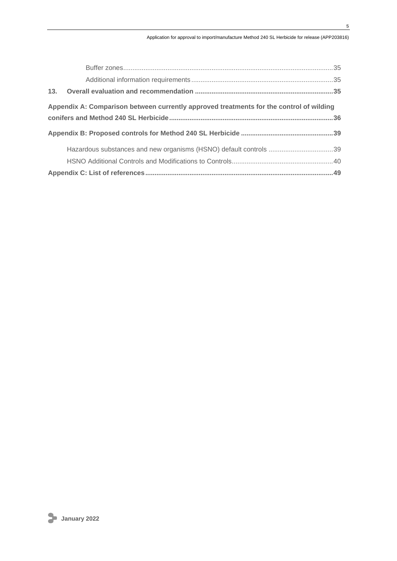| Appendix A: Comparison between currently approved treatments for the control of wilding |
|-----------------------------------------------------------------------------------------|
|                                                                                         |
|                                                                                         |
| Hazardous substances and new organisms (HSNO) default controls 39                       |
|                                                                                         |
|                                                                                         |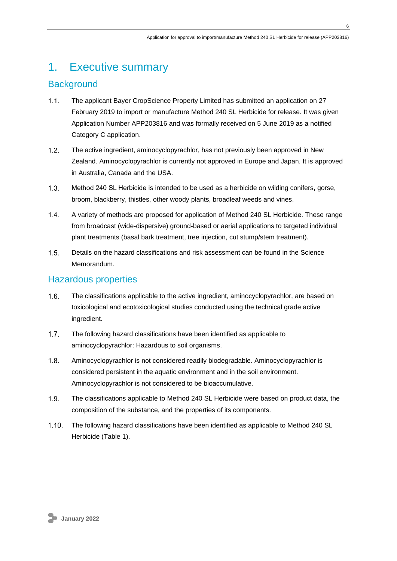# <span id="page-5-0"></span>1. Executive summary

## <span id="page-5-1"></span>**Background**

- $1.1<sub>1</sub>$ The applicant Bayer CropScience Property Limited has submitted an application on 27 February 2019 to import or manufacture Method 240 SL Herbicide for release. It was given Application Number APP203816 and was formally received on 5 June 2019 as a notified Category C application.
- $1.2.$ The active ingredient, aminocyclopyrachlor, has not previously been approved in New Zealand. Aminocyclopyrachlor is currently not approved in Europe and Japan. It is approved in Australia, Canada and the USA.
- $1.3.$ Method 240 SL Herbicide is intended to be used as a herbicide on wilding conifers, gorse, broom, blackberry, thistles, other woody plants, broadleaf weeds and vines.
- $1.4.$ A variety of methods are proposed for application of Method 240 SL Herbicide. These range from broadcast (wide-dispersive) ground-based or aerial applications to targeted individual plant treatments (basal bark treatment, tree injection, cut stump/stem treatment).
- $1.5.$ Details on the hazard classifications and risk assessment can be found in the Science Memorandum.

## <span id="page-5-2"></span>Hazardous properties

- The classifications applicable to the active ingredient, aminocyclopyrachlor, are based on  $1.6.$ toxicological and ecotoxicological studies conducted using the technical grade active ingredient.
- $1.7.$ The following hazard classifications have been identified as applicable to aminocyclopyrachlor: Hazardous to soil organisms.
- $1.8.$ Aminocyclopyrachlor is not considered readily biodegradable. Aminocyclopyrachlor is considered persistent in the aquatic environment and in the soil environment. Aminocyclopyrachlor is not considered to be bioaccumulative.
- $1.9<sub>1</sub>$ The classifications applicable to Method 240 SL Herbicide were based on product data, the composition of the substance, and the properties of its components.
- $1.10.$ The following hazard classifications have been identified as applicable to Method 240 SL Herbicide [\(Table 1\)](#page-6-3).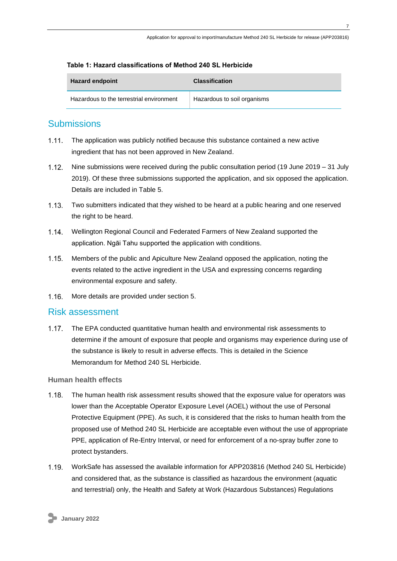#### <span id="page-6-3"></span>**Table 1: Hazard classifications of Method 240 SL Herbicide**

| <b>Hazard endpoint</b>                   | <b>Classification</b>       |
|------------------------------------------|-----------------------------|
| Hazardous to the terrestrial environment | Hazardous to soil organisms |

## <span id="page-6-0"></span>**Submissions**

- The application was publicly notified because this substance contained a new active  $1.11$ ingredient that has not been approved in New Zealand.
- $1.12$ Nine submissions were received during the public consultation period (19 June 2019 – 31 July 2019). Of these three submissions supported the application, and six opposed the application. Details are included in [Table 5.](#page-14-1)
- Two submitters indicated that they wished to be heard at a public hearing and one reserved  $1.13.$ the right to be heard.
- $1.14.$ Wellington Regional Council and Federated Farmers of New Zealand supported the application. Ngāi Tahu supported the application with conditions.
- $1.15.$ Members of the public and Apiculture New Zealand opposed the application, noting the events related to the active ingredient in the USA and expressing concerns regarding environmental exposure and safety.
- $1.16.$ More details are provided under section 5.

## <span id="page-6-1"></span>Risk assessment

The EPA conducted quantitative human health and environmental risk assessments to determine if the amount of exposure that people and organisms may experience during use of the substance is likely to result in adverse effects. This is detailed in the Science Memorandum for Method 240 SL Herbicide.

#### <span id="page-6-2"></span>**Human health effects**

- $1.18.$ The human health risk assessment results showed that the exposure value for operators was lower than the Acceptable Operator Exposure Level (AOEL) without the use of Personal Protective Equipment (PPE). As such, it is considered that the risks to human health from the proposed use of Method 240 SL Herbicide are acceptable even without the use of appropriate PPE, application of Re-Entry Interval, or need for enforcement of a no-spray buffer zone to protect bystanders.
- WorkSafe has assessed the available information for APP203816 (Method 240 SL Herbicide) and considered that, as the substance is classified as hazardous the environment (aquatic and terrestrial) only, the Health and Safety at Work (Hazardous Substances) Regulations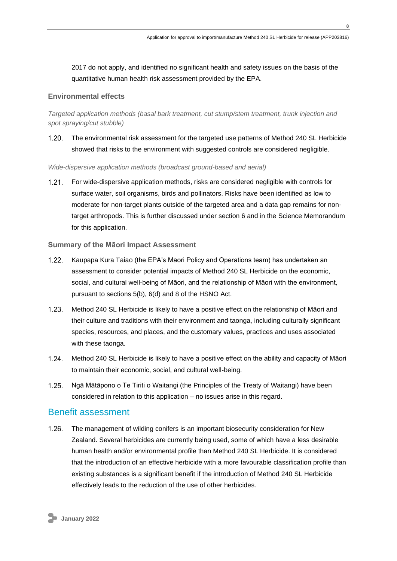2017 do not apply, and identified no significant health and safety issues on the basis of the quantitative human health risk assessment provided by the EPA.

### <span id="page-7-0"></span>**Environmental effects**

*Targeted application methods (basal bark treatment, cut stump/stem treatment, trunk injection and spot spraying/cut stubble)*

 $1.20.$ The environmental risk assessment for the targeted use patterns of Method 240 SL Herbicide showed that risks to the environment with suggested controls are considered negligible.

#### *Wide-dispersive application methods (broadcast ground-based and aerial)*

 $1.21$ For wide-dispersive application methods, risks are considered negligible with controls for surface water, soil organisms, birds and pollinators. Risks have been identified as low to moderate for non-target plants outside of the targeted area and a data gap remains for nontarget arthropods. This is further discussed under section 6 and in the Science Memorandum for this application.

### <span id="page-7-1"></span>**Summary of the Māori Impact Assessment**

- $1.22.$ Kaupapa Kura Taiao (the EPA's Māori Policy and Operations team) has undertaken an assessment to consider potential impacts of Method 240 SL Herbicide on the economic, social, and cultural well-being of Māori, and the relationship of Māori with the environment, pursuant to sections 5(b), 6(d) and 8 of the HSNO Act.
- $1.23.$ Method 240 SL Herbicide is likely to have a positive effect on the relationship of Māori and their culture and traditions with their environment and taonga, including culturally significant species, resources, and places, and the customary values, practices and uses associated with these taonga.
- $1.24.$ Method 240 SL Herbicide is likely to have a positive effect on the ability and capacity of Māori to maintain their economic, social, and cultural well-being.
- $1.25.$ Ngā Mātāpono o Te Tiriti o Waitangi (the Principles of the Treaty of Waitangi) have been considered in relation to this application – no issues arise in this regard.

## <span id="page-7-2"></span>Benefit assessment

 $1.26.$ The management of wilding conifers is an important biosecurity consideration for New Zealand. Several herbicides are currently being used, some of which have a less desirable human health and/or environmental profile than Method 240 SL Herbicide. It is considered that the introduction of an effective herbicide with a more favourable classification profile than existing substances is a significant benefit if the introduction of Method 240 SL Herbicide effectively leads to the reduction of the use of other herbicides.

**8**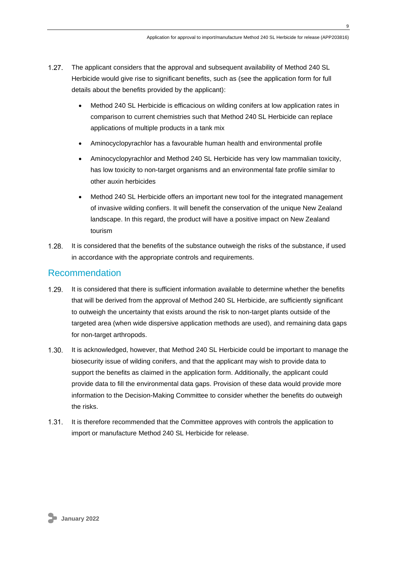- $1.27$ The applicant considers that the approval and subsequent availability of Method 240 SL Herbicide would give rise to significant benefits, such as (see the application form for full details about the benefits provided by the applicant):
	- Method 240 SL Herbicide is efficacious on wilding conifers at low application rates in comparison to current chemistries such that Method 240 SL Herbicide can replace applications of multiple products in a tank mix
	- Aminocyclopyrachlor has a favourable human health and environmental profile
	- Aminocyclopyrachlor and Method 240 SL Herbicide has very low mammalian toxicity, has low toxicity to non-target organisms and an environmental fate profile similar to other auxin herbicides
	- Method 240 SL Herbicide offers an important new tool for the integrated management of invasive wilding confiers. It will benefit the conservation of the unique New Zealand landscape. In this regard, the product will have a positive impact on New Zealand tourism
- $1.28.$ It is considered that the benefits of the substance outweigh the risks of the substance, if used in accordance with the appropriate controls and requirements.

## <span id="page-8-0"></span>Recommendation

- $1.29.$ It is considered that there is sufficient information available to determine whether the benefits that will be derived from the approval of Method 240 SL Herbicide, are sufficiently significant to outweigh the uncertainty that exists around the risk to non-target plants outside of the targeted area (when wide dispersive application methods are used), and remaining data gaps for non-target arthropods.
- $1.30.$ It is acknowledged, however, that Method 240 SL Herbicide could be important to manage the biosecurity issue of wilding conifers, and that the applicant may wish to provide data to support the benefits as claimed in the application form. Additionally, the applicant could provide data to fill the environmental data gaps. Provision of these data would provide more information to the Decision-Making Committee to consider whether the benefits do outweigh the risks.
- $1.31.$ It is therefore recommended that the Committee approves with controls the application to import or manufacture Method 240 SL Herbicide for release.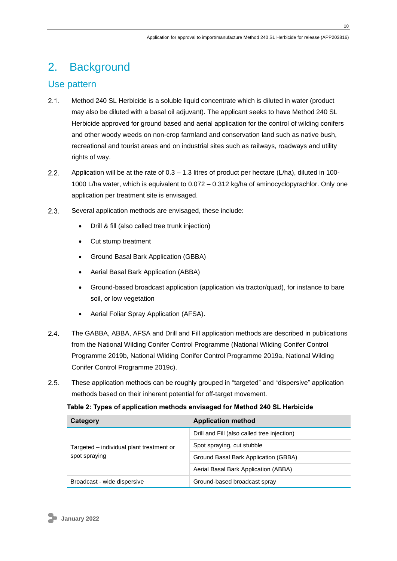# <span id="page-9-0"></span>2. Background

## <span id="page-9-1"></span>Use pattern

- $2.1$ Method 240 SL Herbicide is a soluble liquid concentrate which is diluted in water (product may also be diluted with a basal oil adjuvant). The applicant seeks to have Method 240 SL Herbicide approved for ground based and aerial application for the control of wilding conifers and other woody weeds on non-crop farmland and conservation land such as native bush, recreational and tourist areas and on industrial sites such as railways, roadways and utility rights of way.
- $2.2.$ Application will be at the rate of  $0.3 - 1.3$  litres of product per hectare (L/ha), diluted in 100-1000 L/ha water, which is equivalent to 0.072 – 0.312 kg/ha of aminocyclopyrachlor. Only one application per treatment site is envisaged.
- $2.3.$ Several application methods are envisaged, these include:
	- Drill & fill (also called tree trunk injection)
	- Cut stump treatment
	- Ground Basal Bark Application (GBBA)
	- Aerial Basal Bark Application (ABBA)
	- Ground-based broadcast application (application via tractor/quad), for instance to bare soil, or low vegetation
	- Aerial Foliar Spray Application (AFSA).
- $2.4$ The GABBA, ABBA, AFSA and Drill and Fill application methods are described in publications from the National Wilding Conifer Control Programme (National Wilding Conifer Control Programme 2019b, National Wilding Conifer Control Programme 2019a, National Wilding Conifer Control Programme 2019c).
- $2.5.$ These application methods can be roughly grouped in "targeted" and "dispersive" application methods based on their inherent potential for off-target movement.

**Table 2: Types of application methods envisaged for Method 240 SL Herbicide**

| Category                                                  | <b>Application method</b>                   |  |
|-----------------------------------------------------------|---------------------------------------------|--|
| Targeted – individual plant treatment or<br>spot spraying | Drill and Fill (also called tree injection) |  |
|                                                           | Spot spraying, cut stubble                  |  |
|                                                           | Ground Basal Bark Application (GBBA)        |  |
|                                                           | Aerial Basal Bark Application (ABBA)        |  |
| Broadcast - wide dispersive                               | Ground-based broadcast spray                |  |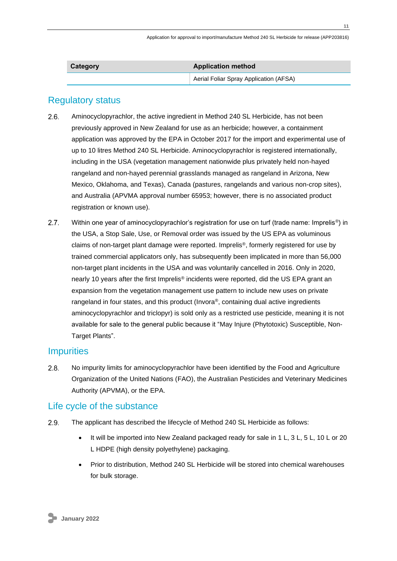| Category | <b>Application method</b>              |  |
|----------|----------------------------------------|--|
|          | Aerial Foliar Spray Application (AFSA) |  |

## <span id="page-10-0"></span>Regulatory status

- $2.6.$ Aminocyclopyrachlor, the active ingredient in Method 240 SL Herbicide, has not been previously approved in New Zealand for use as an herbicide; however, a containment application was approved by the EPA in October 2017 for the import and experimental use of up to 10 litres Method 240 SL Herbicide. Aminocyclopyrachlor is registered internationally, including in the USA (vegetation management nationwide plus privately held non-hayed rangeland and non-hayed perennial grasslands managed as rangeland in Arizona, New Mexico, Oklahoma, and Texas), Canada (pastures, rangelands and various non-crop sites), and Australia (APVMA approval number 65953; however, there is no associated product registration or known use).
- $2.7<sub>1</sub>$ Within one year of aminocyclopyrachlor's registration for use on turf (trade name: Imprelis<sup>®</sup>) in the USA, a Stop Sale, Use, or Removal order was issued by the US EPA as voluminous claims of non-target plant damage were reported. Imprelis®, formerly registered for use by trained commercial applicators only, has subsequently been implicated in more than 56,000 non-target plant incidents in the USA and was voluntarily cancelled in 2016. Only in 2020, nearly 10 years after the first Imprelis® incidents were reported, did the US EPA grant an expansion from the vegetation management use pattern to include new uses on private rangeland in four states, and this product (Invora®, containing dual active ingredients aminocyclopyrachlor and triclopyr) is sold only as a restricted use pesticide, meaning it is not available for sale to the general public because it "May Injure (Phytotoxic) Susceptible, Non-Target Plants".

## <span id="page-10-1"></span>**Impurities**

 $2.8.$ No impurity limits for aminocyclopyrachlor have been identified by the Food and Agriculture Organization of the United Nations (FAO), the Australian Pesticides and Veterinary Medicines Authority (APVMA), or the EPA.

## <span id="page-10-2"></span>Life cycle of the substance

- 2.9. The applicant has described the lifecycle of Method 240 SL Herbicide as follows:
	- It will be imported into New Zealand packaged ready for sale in 1 L, 3 L, 5 L, 10 L or 20 L HDPE (high density polyethylene) packaging.
	- Prior to distribution, Method 240 SL Herbicide will be stored into chemical warehouses for bulk storage.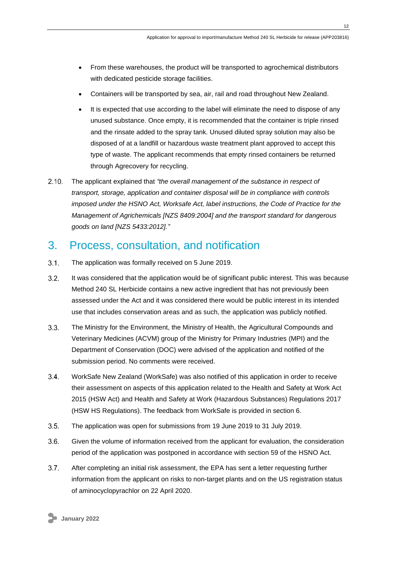- From these warehouses, the product will be transported to agrochemical distributors with dedicated pesticide storage facilities.
- Containers will be transported by sea, air, rail and road throughout New Zealand.
- It is expected that use according to the label will eliminate the need to dispose of any unused substance. Once empty, it is recommended that the container is triple rinsed and the rinsate added to the spray tank. Unused diluted spray solution may also be disposed of at a landfill or hazardous waste treatment plant approved to accept this type of waste. The applicant recommends that empty rinsed containers be returned through Agrecovery for recycling.
- $2.10.$ The applicant explained that *"the overall management of the substance in respect of transport, storage, application and container disposal will be in compliance with controls imposed under the HSNO Act, Worksafe Act, label instructions, the Code of Practice for the Management of Agrichemicals [NZS 8409:2004] and the transport standard for dangerous goods on land [NZS 5433:2012]."*

# <span id="page-11-0"></span>3. Process, consultation, and notification

- $3.1.$ The application was formally received on 5 June 2019.
- $3.2.$ It was considered that the application would be of significant public interest. This was because Method 240 SL Herbicide contains a new active ingredient that has not previously been assessed under the Act and it was considered there would be public interest in its intended use that includes conservation areas and as such, the application was publicly notified.
- $3.3.$ The Ministry for the Environment, the Ministry of Health, the Agricultural Compounds and Veterinary Medicines (ACVM) group of the Ministry for Primary Industries (MPI) and the Department of Conservation (DOC) were advised of the application and notified of the submission period. No comments were received.
- $3.4$ WorkSafe New Zealand (WorkSafe) was also notified of this application in order to receive their assessment on aspects of this application related to the Health and Safety at Work Act 2015 (HSW Act) and Health and Safety at Work (Hazardous Substances) Regulations 2017 (HSW HS Regulations). The feedback from WorkSafe is provided in section 6.
- $3.5.$ The application was open for submissions from 19 June 2019 to 31 July 2019.
- $3.6.$ Given the volume of information received from the applicant for evaluation, the consideration period of the application was postponed in accordance with section 59 of the HSNO Act.
- $3.7.$ After completing an initial risk assessment, the EPA has sent a letter requesting further information from the applicant on risks to non-target plants and on the US registration status of aminocyclopyrachlor on 22 April 2020.

**January 2022**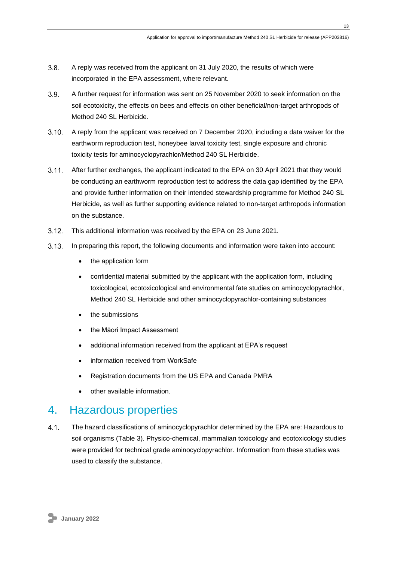- $3.8.$ A reply was received from the applicant on 31 July 2020, the results of which were incorporated in the EPA assessment, where relevant.
- $3.9.$ A further request for information was sent on 25 November 2020 to seek information on the soil ecotoxicity, the effects on bees and effects on other beneficial/non-target arthropods of Method 240 SL Herbicide.
- $3.10.$ A reply from the applicant was received on 7 December 2020, including a data waiver for the earthworm reproduction test, honeybee larval toxicity test, single exposure and chronic toxicity tests for aminocyclopyrachlor/Method 240 SL Herbicide.
- $3.11 -$ After further exchanges, the applicant indicated to the EPA on 30 April 2021 that they would be conducting an earthworm reproduction test to address the data gap identified by the EPA and provide further information on their intended stewardship programme for Method 240 SL Herbicide, as well as further supporting evidence related to non-target arthropods information on the substance.
- $3.12 -$ This additional information was received by the EPA on 23 June 2021.
- $3.13.$ In preparing this report, the following documents and information were taken into account:
	- the application form
	- confidential material submitted by the applicant with the application form, including toxicological, ecotoxicological and environmental fate studies on aminocyclopyrachlor, Method 240 SL Herbicide and other aminocyclopyrachlor-containing substances
	- the submissions
	- the Māori Impact Assessment
	- additional information received from the applicant at EPA's request
	- information received from WorkSafe
	- Registration documents from the US EPA and Canada PMRA
	- other available information.

# <span id="page-12-0"></span>4. Hazardous properties

 $4.1$ The hazard classifications of aminocyclopyrachlor determined by the EPA are: Hazardous to soil organisms [\(Table 3\)](#page-13-1). Physico-chemical, mammalian toxicology and ecotoxicology studies were provided for technical grade aminocyclopyrachlor. Information from these studies was used to classify the substance.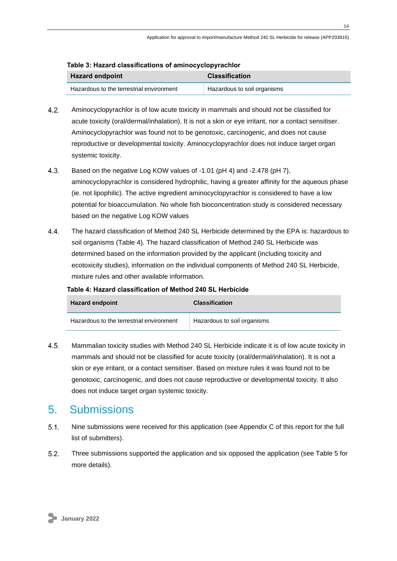| rable 3: Hazard classifications of aminocyclopyrachior |                             |  |
|--------------------------------------------------------|-----------------------------|--|
| <b>Hazard endpoint</b>                                 | <b>Classification</b>       |  |
| Hazardous to the terrestrial environment               | Hazardous to soil organisms |  |

## <span id="page-13-1"></span>**Table 3: Hazard classifications of aminocyclopyrachlor**

- $42.$ Aminocyclopyrachlor is of low acute toxicity in mammals and should not be classified for acute toxicity (oral/dermal/inhalation). It is not a skin or eye irritant, nor a contact sensitiser. Aminocyclopyrachlor was found not to be genotoxic, carcinogenic, and does not cause reproductive or developmental toxicity. Aminocyclopyrachlor does not induce target organ systemic toxicity.
- $4.3.$ Based on the negative Log KOW values of -1.01 (pH 4) and -2.478 (pH 7), aminocyclopyrachlor is considered hydrophilic, having a greater affinity for the aqueous phase (ie. not lipophilic). The active ingredient aminocyclopyrachlor is considered to have a low potential for bioaccumulation. No whole fish bioconcentration study is considered necessary based on the negative Log KOW values
- 44. The hazard classification of Method 240 SL Herbicide determined by the EPA is: hazardous to soil organisms [\(Table 4\)](#page-13-2). The hazard classification of Method 240 SL Herbicide was determined based on the information provided by the applicant (including toxicity and ecotoxicity studies), information on the individual components of Method 240 SL Herbicide, mixture rules and other available information.

| <b>Hazard endpoint</b>                   | <b>Classification</b>       |
|------------------------------------------|-----------------------------|
| Hazardous to the terrestrial environment | Hazardous to soil organisms |

## <span id="page-13-2"></span>**Table 4: Hazard classification of Method 240 SL Herbicide**

 $4.5.$ Mammalian toxicity studies with Method 240 SL Herbicide indicate it is of low acute toxicity in mammals and should not be classified for acute toxicity (oral/dermal/inhalation). It is not a skin or eye irritant, or a contact sensitiser. Based on mixture rules it was found not to be genotoxic, carcinogenic, and does not cause reproductive or developmental toxicity. It also does not induce target organ systemic toxicity.

# <span id="page-13-0"></span>5. Submissions

- $5.1.$ Nine submissions were received for this application (see Appendix C of this report for the full list of submitters).
- $5.2.$ Three submissions supported the application and six opposed the application (see [Table 5](#page-14-1) for more details).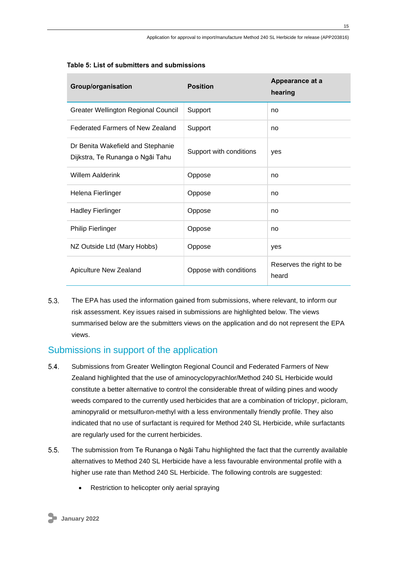| Group/organisation                                                    | <b>Position</b>         | Appearance at a<br>hearing        |
|-----------------------------------------------------------------------|-------------------------|-----------------------------------|
| Greater Wellington Regional Council                                   | Support                 | no                                |
| Federated Farmers of New Zealand                                      | Support                 | no                                |
| Dr Benita Wakefield and Stephanie<br>Dijkstra, Te Runanga o Ngāi Tahu | Support with conditions | yes                               |
| <b>Willem Aalderink</b>                                               | Oppose                  | no                                |
| Helena Fierlinger                                                     | Oppose                  | no                                |
| <b>Hadley Fierlinger</b>                                              | Oppose                  | no                                |
| <b>Philip Fierlinger</b>                                              | Oppose                  | no                                |
| NZ Outside Ltd (Mary Hobbs)                                           | Oppose                  | yes                               |
| Apiculture New Zealand                                                | Oppose with conditions  | Reserves the right to be<br>heard |

### <span id="page-14-1"></span>**Table 5: List of submitters and submissions**

 $5.3.$ The EPA has used the information gained from submissions, where relevant, to inform our risk assessment. Key issues raised in submissions are highlighted below. The views summarised below are the submitters views on the application and do not represent the EPA views.

## <span id="page-14-0"></span>Submissions in support of the application

- $5.4.$ Submissions from Greater Wellington Regional Council and Federated Farmers of New Zealand highlighted that the use of aminocyclopyrachlor/Method 240 SL Herbicide would constitute a better alternative to control the considerable threat of wilding pines and woody weeds compared to the currently used herbicides that are a combination of triclopyr, picloram, aminopyralid or metsulfuron-methyl with a less environmentally friendly profile. They also indicated that no use of surfactant is required for Method 240 SL Herbicide, while surfactants are regularly used for the current herbicides.
- $5.5.$ The submission from Te Runanga o Ngāi Tahu highlighted the fact that the currently available alternatives to Method 240 SL Herbicide have a less favourable environmental profile with a higher use rate than Method 240 SL Herbicide. The following controls are suggested:
	- Restriction to helicopter only aerial spraying

**January 2022**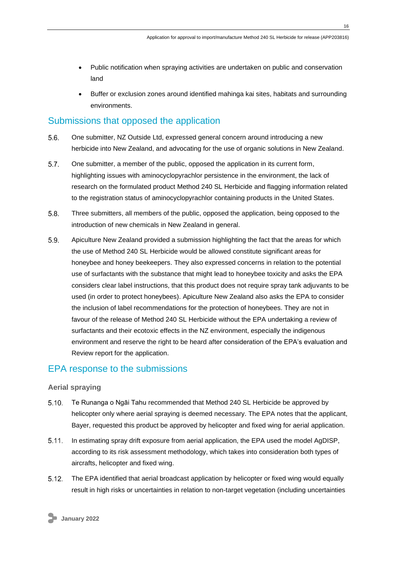- Public notification when spraying activities are undertaken on public and conservation land
- Buffer or exclusion zones around identified mahinga kai sites, habitats and surrounding environments.

## <span id="page-15-0"></span>Submissions that opposed the application

- $5.6.$ One submitter, NZ Outside Ltd, expressed general concern around introducing a new herbicide into New Zealand, and advocating for the use of organic solutions in New Zealand.
- $5.7.$ One submitter, a member of the public, opposed the application in its current form, highlighting issues with aminocyclopyrachlor persistence in the environment, the lack of research on the formulated product Method 240 SL Herbicide and flagging information related to the registration status of aminocyclopyrachlor containing products in the United States.
- $5.8.$ Three submitters, all members of the public, opposed the application, being opposed to the introduction of new chemicals in New Zealand in general.
- 5.9. Apiculture New Zealand provided a submission highlighting the fact that the areas for which the use of Method 240 SL Herbicide would be allowed constitute significant areas for honeybee and honey beekeepers. They also expressed concerns in relation to the potential use of surfactants with the substance that might lead to honeybee toxicity and asks the EPA considers clear label instructions, that this product does not require spray tank adjuvants to be used (in order to protect honeybees). Apiculture New Zealand also asks the EPA to consider the inclusion of label recommendations for the protection of honeybees. They are not in favour of the release of Method 240 SL Herbicide without the EPA undertaking a review of surfactants and their ecotoxic effects in the NZ environment, especially the indigenous environment and reserve the right to be heard after consideration of the EPA's evaluation and Review report for the application.

## <span id="page-15-1"></span>EPA response to the submissions

## <span id="page-15-2"></span>**Aerial spraying**

- $5.10.$ Te Runanga o Ngāi Tahu recommended that Method 240 SL Herbicide be approved by helicopter only where aerial spraying is deemed necessary. The EPA notes that the applicant, Bayer, requested this product be approved by helicopter and fixed wing for aerial application.
- $5.11.$ In estimating spray drift exposure from aerial application, the EPA used the model AgDISP, according to its risk assessment methodology, which takes into consideration both types of aircrafts, helicopter and fixed wing.
- $5.12.$ The EPA identified that aerial broadcast application by helicopter or fixed wing would equally result in high risks or uncertainties in relation to non-target vegetation (including uncertainties

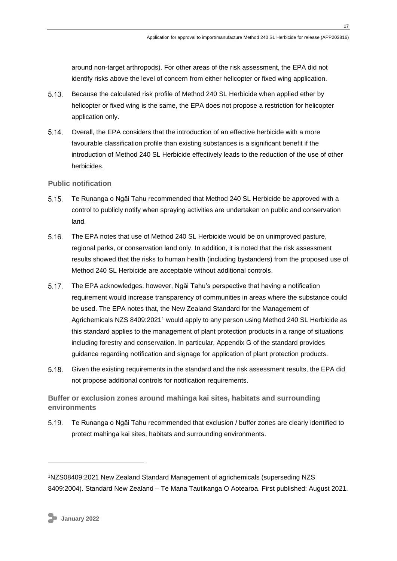around non-target arthropods). For other areas of the risk assessment, the EPA did not identify risks above the level of concern from either helicopter or fixed wing application.

- $5.13.$ Because the calculated risk profile of Method 240 SL Herbicide when applied ether by helicopter or fixed wing is the same, the EPA does not propose a restriction for helicopter application only.
- $5.14.$ Overall, the EPA considers that the introduction of an effective herbicide with a more favourable classification profile than existing substances is a significant benefit if the introduction of Method 240 SL Herbicide effectively leads to the reduction of the use of other herbicides.

## <span id="page-16-0"></span>**Public notification**

- $5.15.$ Te Runanga o Ngāi Tahu recommended that Method 240 SL Herbicide be approved with a control to publicly notify when spraying activities are undertaken on public and conservation land.
- $5.16.$ The EPA notes that use of Method 240 SL Herbicide would be on unimproved pasture, regional parks, or conservation land only. In addition, it is noted that the risk assessment results showed that the risks to human health (including bystanders) from the proposed use of Method 240 SL Herbicide are acceptable without additional controls.
- The EPA acknowledges, however, Ngāi Tahu's perspective that having a notification requirement would increase transparency of communities in areas where the substance could be used. The EPA notes that, the New Zealand Standard for the Management of Agrichemicals NZS 8409:2021<sup>1</sup> would apply to any person using Method 240 SL Herbicide as this standard applies to the management of plant protection products in a range of situations including forestry and conservation. In particular, Appendix G of the standard provides guidance regarding notification and signage for application of plant protection products.
- $5.18.$ Given the existing requirements in the standard and the risk assessment results, the EPA did not propose additional controls for notification requirements.

<span id="page-16-1"></span>**Buffer or exclusion zones around mahinga kai sites, habitats and surrounding environments**

5.19. Te Runanga o Ngāi Tahu recommended that exclusion / buffer zones are clearly identified to protect mahinga kai sites, habitats and surrounding environments.

<sup>1</sup>NZS08409:2021 New Zealand Standard Management of agrichemicals (superseding NZS 8409:2004). Standard New Zealand – Te Mana Tautikanga O Aotearoa. First published: August 2021.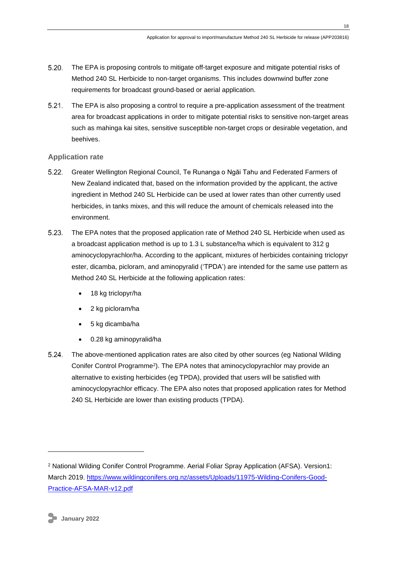- $5.20.$ The EPA is proposing controls to mitigate off-target exposure and mitigate potential risks of Method 240 SL Herbicide to non-target organisms. This includes downwind buffer zone requirements for broadcast ground-based or aerial application.
- $5.21.$ The EPA is also proposing a control to require a pre-application assessment of the treatment area for broadcast applications in order to mitigate potential risks to sensitive non-target areas such as mahinga kai sites, sensitive susceptible non-target crops or desirable vegetation, and beehives.

## <span id="page-17-0"></span>**Application rate**

- $5.22.$ Greater Wellington Regional Council, Te Runanga o Ngāi Tahu and Federated Farmers of New Zealand indicated that, based on the information provided by the applicant, the active ingredient in Method 240 SL Herbicide can be used at lower rates than other currently used herbicides, in tanks mixes, and this will reduce the amount of chemicals released into the environment.
- $5.23.$ The EPA notes that the proposed application rate of Method 240 SL Herbicide when used as a broadcast application method is up to 1.3 L substance/ha which is equivalent to 312 g aminocyclopyrachlor/ha. According to the applicant, mixtures of herbicides containing triclopyr ester, dicamba, picloram, and aminopyralid ('TPDA') are intended for the same use pattern as Method 240 SL Herbicide at the following application rates:
	- 18 kg triclopyr/ha
	- 2 kg picloram/ha
	- 5 kg dicamba/ha
	- 0.28 kg aminopyralid/ha
- $5.24$ The above-mentioned application rates are also cited by other sources (eg National Wilding Conifer Control Programme<sup>2</sup>). The EPA notes that aminocyclopyrachlor may provide an alternative to existing herbicides (eg TPDA), provided that users will be satisfied with aminocyclopyrachlor efficacy. The EPA also notes that proposed application rates for Method 240 SL Herbicide are lower than existing products (TPDA).

<sup>2</sup> National Wilding Conifer Control Programme. Aerial Foliar Spray Application (AFSA). Version1: March 2019. [https://www.wildingconifers.org.nz/assets/Uploads/11975-Wilding-Conifers-Good-](https://www.wildingconifers.org.nz/assets/Uploads/11975-Wilding-Conifers-Good-Practice-AFSA-MAR-v12.pdf)[Practice-AFSA-MAR-v12.pdf](https://www.wildingconifers.org.nz/assets/Uploads/11975-Wilding-Conifers-Good-Practice-AFSA-MAR-v12.pdf)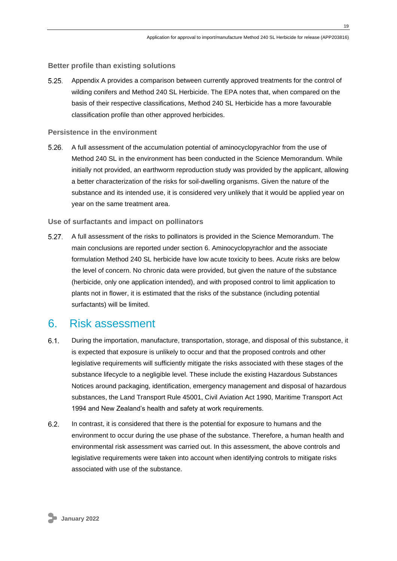### <span id="page-18-0"></span>**Better profile than existing solutions**

 $5.25$ Appendix A provides a comparison between currently approved treatments for the control of wilding conifers and Method 240 SL Herbicide. The EPA notes that, when compared on the basis of their respective classifications, Method 240 SL Herbicide has a more favourable classification profile than other approved herbicides.

#### <span id="page-18-1"></span>**Persistence in the environment**

 $5.26.$ A full assessment of the accumulation potential of aminocyclopyrachlor from the use of Method 240 SL in the environment has been conducted in the Science Memorandum. While initially not provided, an earthworm reproduction study was provided by the applicant, allowing a better characterization of the risks for soil-dwelling organisms. Given the nature of the substance and its intended use, it is considered very unlikely that it would be applied year on year on the same treatment area.

## <span id="page-18-2"></span>**Use of surfactants and impact on pollinators**

 $5.27.$ A full assessment of the risks to pollinators is provided in the Science Memorandum. The main conclusions are reported under section 6. Aminocyclopyrachlor and the associate formulation Method 240 SL herbicide have low acute toxicity to bees. Acute risks are below the level of concern. No chronic data were provided, but given the nature of the substance (herbicide, only one application intended), and with proposed control to limit application to plants not in flower, it is estimated that the risks of the substance (including potential surfactants) will be limited.

## <span id="page-18-3"></span>6. Risk assessment

- $6.1$ During the importation, manufacture, transportation, storage, and disposal of this substance, it is expected that exposure is unlikely to occur and that the proposed controls and other legislative requirements will sufficiently mitigate the risks associated with these stages of the substance lifecycle to a negligible level. These include the existing Hazardous Substances Notices around packaging, identification, emergency management and disposal of hazardous substances, the Land Transport Rule 45001, Civil Aviation Act 1990, Maritime Transport Act 1994 and New Zealand's health and safety at work requirements.
- $6.2.$ In contrast, it is considered that there is the potential for exposure to humans and the environment to occur during the use phase of the substance. Therefore, a human health and environmental risk assessment was carried out. In this assessment, the above controls and legislative requirements were taken into account when identifying controls to mitigate risks associated with use of the substance.

**January 2022**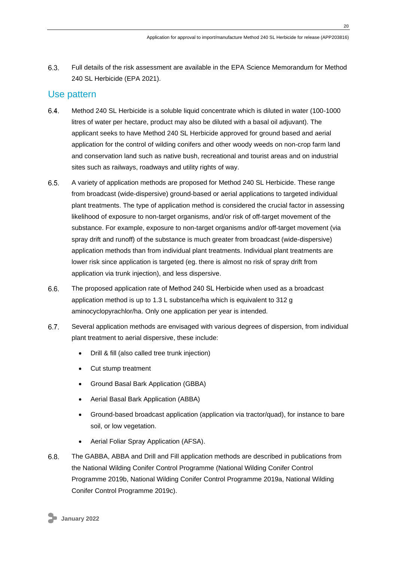$6.3.$ Full details of the risk assessment are available in the EPA Science Memorandum for Method 240 SL Herbicide (EPA 2021).

## <span id="page-19-0"></span>Use pattern

- 6.4. Method 240 SL Herbicide is a soluble liquid concentrate which is diluted in water (100-1000 litres of water per hectare, product may also be diluted with a basal oil adjuvant). The applicant seeks to have Method 240 SL Herbicide approved for ground based and aerial application for the control of wilding conifers and other woody weeds on non-crop farm land and conservation land such as native bush, recreational and tourist areas and on industrial sites such as railways, roadways and utility rights of way.
- $6.5.$ A variety of application methods are proposed for Method 240 SL Herbicide. These range from broadcast (wide-dispersive) ground-based or aerial applications to targeted individual plant treatments. The type of application method is considered the crucial factor in assessing likelihood of exposure to non-target organisms, and/or risk of off-target movement of the substance. For example, exposure to non-target organisms and/or off-target movement (via spray drift and runoff) of the substance is much greater from broadcast (wide-dispersive) application methods than from individual plant treatments. Individual plant treatments are lower risk since application is targeted (eg. there is almost no risk of spray drift from application via trunk injection), and less dispersive.
- 6.6. The proposed application rate of Method 240 SL Herbicide when used as a broadcast application method is up to 1.3 L substance/ha which is equivalent to 312 g aminocyclopyrachlor/ha. Only one application per year is intended.
- $6.7.$ Several application methods are envisaged with various degrees of dispersion, from individual plant treatment to aerial dispersive, these include:
	- Drill & fill (also called tree trunk injection)
	- Cut stump treatment
	- Ground Basal Bark Application (GBBA)
	- Aerial Basal Bark Application (ABBA)
	- Ground-based broadcast application (application via tractor/quad), for instance to bare soil, or low vegetation.
	- Aerial Foliar Spray Application (AFSA).
- $6.8.$ The GABBA, ABBA and Drill and Fill application methods are described in publications from the National Wilding Conifer Control Programme (National Wilding Conifer Control Programme 2019b, National Wilding Conifer Control Programme 2019a, National Wilding Conifer Control Programme 2019c).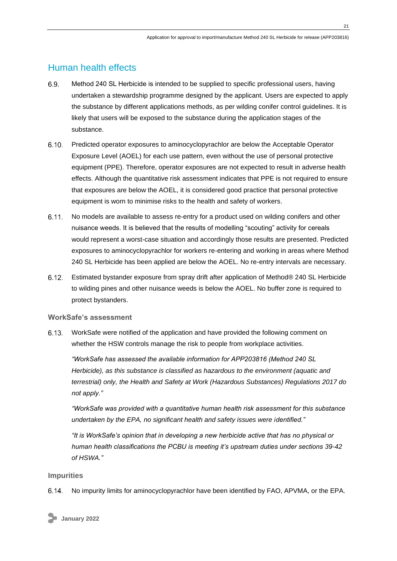## <span id="page-20-0"></span>Human health effects

- 6.9. Method 240 SL Herbicide is intended to be supplied to specific professional users, having undertaken a stewardship programme designed by the applicant. Users are expected to apply the substance by different applications methods, as per wilding conifer control guidelines. It is likely that users will be exposed to the substance during the application stages of the substance.
- $6.10 -$ Predicted operator exposures to aminocyclopyrachlor are below the Acceptable Operator Exposure Level (AOEL) for each use pattern, even without the use of personal protective equipment (PPE). Therefore, operator exposures are not expected to result in adverse health effects. Although the quantitative risk assessment indicates that PPE is not required to ensure that exposures are below the AOEL, it is considered good practice that personal protective equipment is worn to minimise risks to the health and safety of workers.
- $6.11.$ No models are available to assess re-entry for a product used on wilding conifers and other nuisance weeds. It is believed that the results of modelling "scouting" activity for cereals would represent a worst-case situation and accordingly those results are presented. Predicted exposures to aminocyclopyrachlor for workers re-entering and working in areas where Method 240 SL Herbicide has been applied are below the AOEL. No re-entry intervals are necessary.
- $6.12.$ Estimated bystander exposure from spray drift after application of Method® 240 SL Herbicide to wilding pines and other nuisance weeds is below the AOEL. No buffer zone is required to protect bystanders.

## <span id="page-20-1"></span>**WorkSafe's assessment**

 $6.13.$ WorkSafe were notified of the application and have provided the following comment on whether the HSW controls manage the risk to people from workplace activities.

*"WorkSafe has assessed the available information for APP203816 (Method 240 SL Herbicide), as this substance is classified as hazardous to the environment (aquatic and terrestrial) only, the Health and Safety at Work (Hazardous Substances) Regulations 2017 do not apply."*

*"WorkSafe was provided with a quantitative human health risk assessment for this substance undertaken by the EPA, no significant health and safety issues were identified."*

*"It is WorkSafe's opinion that in developing a new herbicide active that has no physical or human health classifications the PCBU is meeting it's upstream duties under sections 39-42 of HSWA."*

### <span id="page-20-2"></span>**Impurities**

 $6.14.$ No impurity limits for aminocyclopyrachlor have been identified by FAO, APVMA, or the EPA.

**January 2022**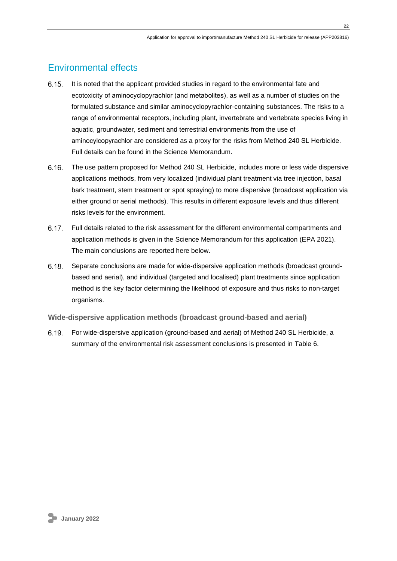## <span id="page-21-0"></span>Environmental effects

- $6.15.$ It is noted that the applicant provided studies in regard to the environmental fate and ecotoxicity of aminocyclopyrachlor (and metabolites), as well as a number of studies on the formulated substance and similar aminocyclopyrachlor-containing substances. The risks to a range of environmental receptors, including plant, invertebrate and vertebrate species living in aquatic, groundwater, sediment and terrestrial environments from the use of aminocylcopyrachlor are considered as a proxy for the risks from Method 240 SL Herbicide. Full details can be found in the Science Memorandum.
- $6.16.$ The use pattern proposed for Method 240 SL Herbicide, includes more or less wide dispersive applications methods, from very localized (individual plant treatment via tree injection, basal bark treatment, stem treatment or spot spraying) to more dispersive (broadcast application via either ground or aerial methods). This results in different exposure levels and thus different risks levels for the environment.
- $6.17.$ Full details related to the risk assessment for the different environmental compartments and application methods is given in the Science Memorandum for this application (EPA 2021). The main conclusions are reported here below.
- Separate conclusions are made for wide-dispersive application methods (broadcast ground- $6.18.$ based and aerial), and individual (targeted and localised) plant treatments since application method is the key factor determining the likelihood of exposure and thus risks to non-target organisms.

<span id="page-21-1"></span>**Wide-dispersive application methods (broadcast ground-based and aerial)**

 $6.19.$ For wide-dispersive application (ground-based and aerial) of Method 240 SL Herbicide, a summary of the environmental risk assessment conclusions is presented in Table 6.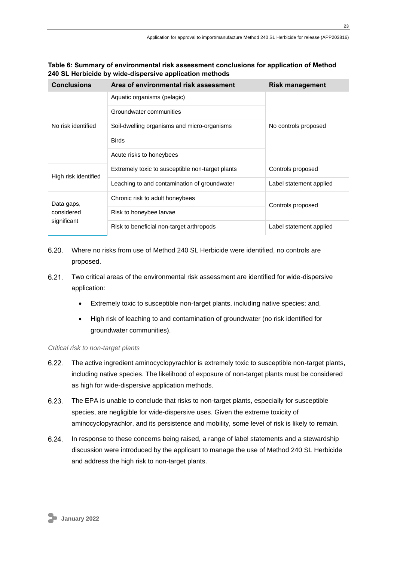| Table 6: Summary of environmental risk assessment conclusions for application of Method |
|-----------------------------------------------------------------------------------------|
| 240 SL Herbicide by wide-dispersive application methods                                 |

| <b>Conclusions</b>                      | Area of environmental risk assessment            | <b>Risk management</b>  |  |
|-----------------------------------------|--------------------------------------------------|-------------------------|--|
| No risk identified                      | Aquatic organisms (pelagic)                      |                         |  |
|                                         | Groundwater communities                          | No controls proposed    |  |
|                                         | Soil-dwelling organisms and micro-organisms      |                         |  |
|                                         | <b>Birds</b>                                     |                         |  |
|                                         | Acute risks to honeybees                         |                         |  |
| High risk identified                    | Extremely toxic to susceptible non-target plants | Controls proposed       |  |
|                                         | Leaching to and contamination of groundwater     | Label statement applied |  |
| Data gaps,<br>considered<br>significant | Chronic risk to adult honeybees                  | Controls proposed       |  |
|                                         | Risk to honeybee larvae                          |                         |  |
|                                         | Risk to beneficial non-target arthropods         | Label statement applied |  |

- $6.20.$ Where no risks from use of Method 240 SL Herbicide were identified, no controls are proposed.
- $6.21.$ Two critical areas of the environmental risk assessment are identified for wide-dispersive application:
	- Extremely toxic to susceptible non-target plants, including native species; and,
	- High risk of leaching to and contamination of groundwater (no risk identified for groundwater communities).

### *Critical risk to non-target plants*

- $6.22.$ The active ingredient aminocyclopyrachlor is extremely toxic to susceptible non-target plants, including native species. The likelihood of exposure of non-target plants must be considered as high for wide-dispersive application methods.
- $6.23.$ The EPA is unable to conclude that risks to non-target plants, especially for susceptible species, are negligible for wide-dispersive uses. Given the extreme toxicity of aminocyclopyrachlor, and its persistence and mobility, some level of risk is likely to remain.
- $6.24.$ In response to these concerns being raised, a range of label statements and a stewardship discussion were introduced by the applicant to manage the use of Method 240 SL Herbicide and address the high risk to non-target plants.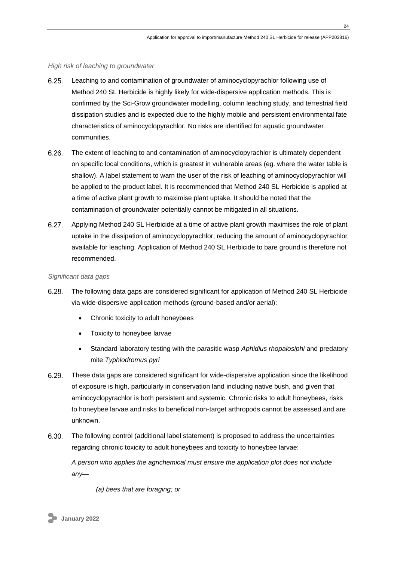### *High risk of leaching to groundwater*

- $6.25.$ Leaching to and contamination of groundwater of aminocyclopyrachlor following use of Method 240 SL Herbicide is highly likely for wide-dispersive application methods. This is confirmed by the Sci-Grow groundwater modelling, column leaching study, and terrestrial field dissipation studies and is expected due to the highly mobile and persistent environmental fate characteristics of aminocyclopyrachlor. No risks are identified for aquatic groundwater communities.
- $6.26.$ The extent of leaching to and contamination of aminocyclopyrachlor is ultimately dependent on specific local conditions, which is greatest in vulnerable areas (eg. where the water table is shallow). A label statement to warn the user of the risk of leaching of aminocyclopyrachlor will be applied to the product label. It is recommended that Method 240 SL Herbicide is applied at a time of active plant growth to maximise plant uptake. It should be noted that the contamination of groundwater potentially cannot be mitigated in all situations.
- $6.27.$ Applying Method 240 SL Herbicide at a time of active plant growth maximises the role of plant uptake in the dissipation of aminocyclopyrachlor, reducing the amount of aminocyclopyrachlor available for leaching. Application of Method 240 SL Herbicide to bare ground is therefore not recommended.

#### *Significant data gaps*

- $6.28.$ The following data gaps are considered significant for application of Method 240 SL Herbicide via wide-dispersive application methods (ground-based and/or aerial):
	- Chronic toxicity to adult honeybees
	- Toxicity to honeybee larvae
	- Standard laboratory testing with the parasitic wasp *Aphidius rhopalosiphi* and predatory mite *Typhlodromus pyri*
- $6.29.$ These data gaps are considered significant for wide-dispersive application since the likelihood of exposure is high, particularly in conservation land including native bush, and given that aminocyclopyrachlor is both persistent and systemic. Chronic risks to adult honeybees, risks to honeybee larvae and risks to beneficial non-target arthropods cannot be assessed and are unknown.
- $6.30.$ The following control (additional label statement) is proposed to address the uncertainties regarding chronic toxicity to adult honeybees and toxicity to honeybee larvae:

*A person who applies the agrichemical must ensure the application plot does not include any—*

*(a) bees that are foraging; or* 

**January 2022**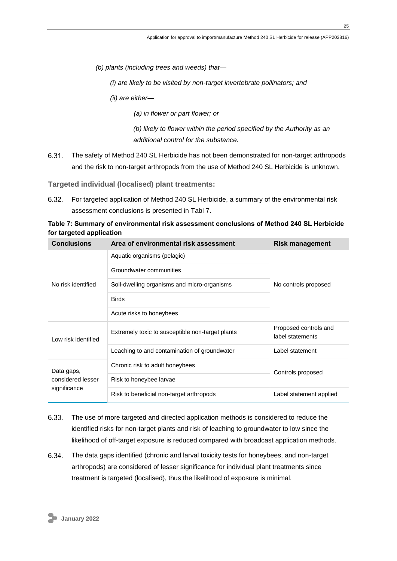*(b) plants (including trees and weeds) that—*

*(i) are likely to be visited by non-target invertebrate pollinators; and* 

*(ii) are either—*

*(a) in flower or part flower; or* 

*(b) likely to flower within the period specified by the Authority as an additional control for the substance.*

The safety of Method 240 SL Herbicide has not been demonstrated for non-target arthropods and the risk to non-target arthropods from the use of Method 240 SL Herbicide is unknown.

<span id="page-24-0"></span>**Targeted individual (localised) plant treatments:**

 $6.32.$ For targeted application of Method 240 SL Herbicide, a summary of the environmental risk assessment conclusions is presented in [Tabl](#page-24-1) 7.

<span id="page-24-1"></span>**Table 7: Summary of environmental risk assessment conclusions of Method 240 SL Herbicide for targeted application**

| <b>Conclusions</b>                              | Area of environmental risk assessment            | <b>Risk management</b>                    |  |
|-------------------------------------------------|--------------------------------------------------|-------------------------------------------|--|
|                                                 | Aquatic organisms (pelagic)                      |                                           |  |
|                                                 | Groundwater communities                          | No controls proposed                      |  |
| No risk identified                              | Soil-dwelling organisms and micro-organisms      |                                           |  |
|                                                 | <b>Birds</b>                                     |                                           |  |
|                                                 | Acute risks to honeybees                         |                                           |  |
| Low risk identified                             | Extremely toxic to susceptible non-target plants | Proposed controls and<br>label statements |  |
|                                                 | Leaching to and contamination of groundwater     | Label statement                           |  |
| Data gaps,<br>considered lesser<br>significance | Chronic risk to adult honeybees                  | Controls proposed                         |  |
|                                                 | Risk to honeybee larvae                          |                                           |  |
|                                                 | Risk to beneficial non-target arthropods         | Label statement applied                   |  |

- 6.33. The use of more targeted and directed application methods is considered to reduce the identified risks for non-target plants and risk of leaching to groundwater to low since the likelihood of off-target exposure is reduced compared with broadcast application methods.
- 6.34. The data gaps identified (chronic and larval toxicity tests for honeybees, and non-target arthropods) are considered of lesser significance for individual plant treatments since treatment is targeted (localised), thus the likelihood of exposure is minimal.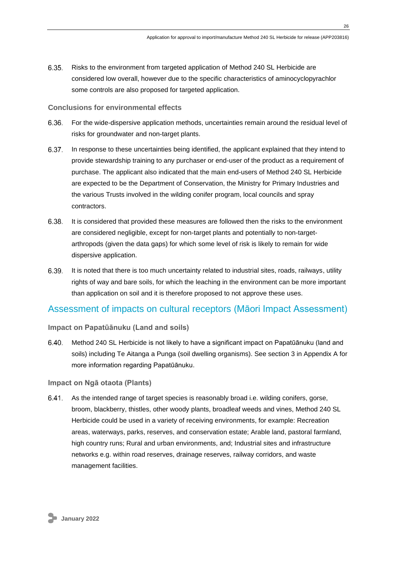$6.35.$ Risks to the environment from targeted application of Method 240 SL Herbicide are considered low overall, however due to the specific characteristics of aminocyclopyrachlor some controls are also proposed for targeted application.

### <span id="page-25-0"></span>**Conclusions for environmental effects**

- 6.36. For the wide-dispersive application methods, uncertainties remain around the residual level of risks for groundwater and non-target plants.
- 6.37. In response to these uncertainties being identified, the applicant explained that they intend to provide stewardship training to any purchaser or end-user of the product as a requirement of purchase. The applicant also indicated that the main end-users of Method 240 SL Herbicide are expected to be the Department of Conservation, the Ministry for Primary Industries and the various Trusts involved in the wilding conifer program, local councils and spray contractors.
- 6.38. It is considered that provided these measures are followed then the risks to the environment are considered negligible, except for non-target plants and potentially to non-targetarthropods (given the data gaps) for which some level of risk is likely to remain for wide dispersive application.
- 6.39. It is noted that there is too much uncertainty related to industrial sites, roads, railways, utility rights of way and bare soils, for which the leaching in the environment can be more important than application on soil and it is therefore proposed to not approve these uses.

## <span id="page-25-1"></span>Assessment of impacts on cultural receptors (Māori Impact Assessment)

### <span id="page-25-2"></span>**Impact on Papatūānuku (Land and soils)**

 $6.40.$ Method 240 SL Herbicide is not likely to have a significant impact on Papatūānuku (land and soils) including Te Aitanga a Punga (soil dwelling organisms). See section 3 in Appendix A for more information regarding Papatūānuku.

### <span id="page-25-3"></span>**Impact on Ngā otaota (Plants)**

As the intended range of target species is reasonably broad i.e. wilding conifers, gorse,  $6.41.$ broom, blackberry, thistles, other woody plants, broadleaf weeds and vines, Method 240 SL Herbicide could be used in a variety of receiving environments, for example: Recreation areas, waterways, parks, reserves, and conservation estate; Arable land, pastoral farmland, high country runs; Rural and urban environments, and; Industrial sites and infrastructure networks e.g. within road reserves, drainage reserves, railway corridors, and waste management facilities.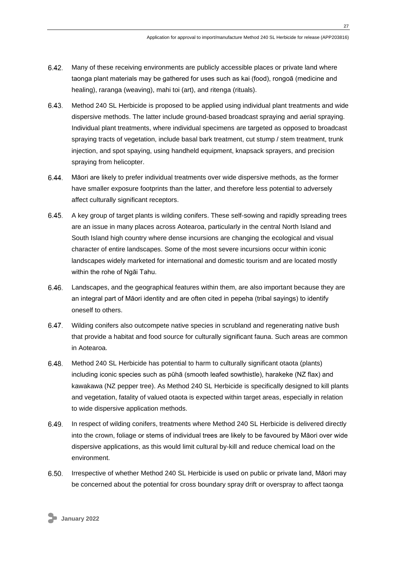- $6.42.$ Many of these receiving environments are publicly accessible places or private land where taonga plant materials may be gathered for uses such as kai (food), rongoā (medicine and healing), raranga (weaving), mahi toi (art), and ritenga (rituals).
- 6.43. Method 240 SL Herbicide is proposed to be applied using individual plant treatments and wide dispersive methods. The latter include ground-based broadcast spraying and aerial spraying. Individual plant treatments, where individual specimens are targeted as opposed to broadcast spraying tracts of vegetation, include basal bark treatment, cut stump / stem treatment, trunk injection, and spot spaying, using handheld equipment, knapsack sprayers, and precision spraying from helicopter.
- 6.44. Māori are likely to prefer individual treatments over wide dispersive methods, as the former have smaller exposure footprints than the latter, and therefore less potential to adversely affect culturally significant receptors.
- $6.45.$ A key group of target plants is wilding conifers. These self-sowing and rapidly spreading trees are an issue in many places across Aotearoa, particularly in the central North Island and South Island high country where dense incursions are changing the ecological and visual character of entire landscapes. Some of the most severe incursions occur within iconic landscapes widely marketed for international and domestic tourism and are located mostly within the rohe of Ngāi Tahu.
- 6.46. Landscapes, and the geographical features within them, are also important because they are an integral part of Māori identity and are often cited in pepeha (tribal sayings) to identify oneself to others.
- $6.47.$ Wilding conifers also outcompete native species in scrubland and regenerating native bush that provide a habitat and food source for culturally significant fauna. Such areas are common in Aotearoa.
- 6.48. Method 240 SL Herbicide has potential to harm to culturally significant otaota (plants) including iconic species such as pūhā (smooth leafed sowthistle), harakeke (NZ flax) and kawakawa (NZ pepper tree). As Method 240 SL Herbicide is specifically designed to kill plants and vegetation, fatality of valued otaota is expected within target areas, especially in relation to wide dispersive application methods.
- 6.49. In respect of wilding conifers, treatments where Method 240 SL Herbicide is delivered directly into the crown, foliage or stems of individual trees are likely to be favoured by Māori over wide dispersive applications, as this would limit cultural by-kill and reduce chemical load on the environment.
- $6.50.$ Irrespective of whether Method 240 SL Herbicide is used on public or private land, Māori may be concerned about the potential for cross boundary spray drift or overspray to affect taonga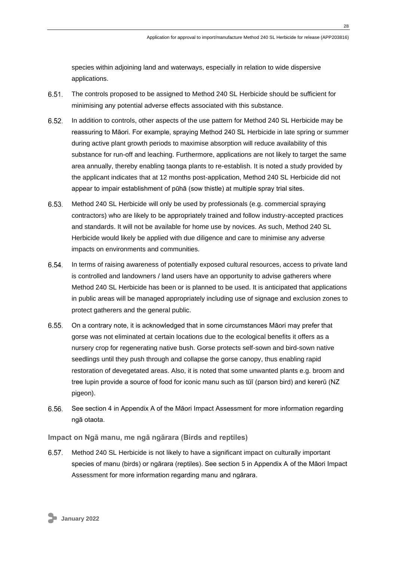species within adjoining land and waterways, especially in relation to wide dispersive applications.

- $6.51.$ The controls proposed to be assigned to Method 240 SL Herbicide should be sufficient for minimising any potential adverse effects associated with this substance.
- $6.52.$ In addition to controls, other aspects of the use pattern for Method 240 SL Herbicide may be reassuring to Māori. For example, spraying Method 240 SL Herbicide in late spring or summer during active plant growth periods to maximise absorption will reduce availability of this substance for run-off and leaching. Furthermore, applications are not likely to target the same area annually, thereby enabling taonga plants to re-establish. It is noted a study provided by the applicant indicates that at 12 months post-application, Method 240 SL Herbicide did not appear to impair establishment of pūhā (sow thistle) at multiple spray trial sites.
- 6.53. Method 240 SL Herbicide will only be used by professionals (e.g. commercial spraying contractors) who are likely to be appropriately trained and follow industry-accepted practices and standards. It will not be available for home use by novices. As such, Method 240 SL Herbicide would likely be applied with due diligence and care to minimise any adverse impacts on environments and communities.
- $6.54.$ In terms of raising awareness of potentially exposed cultural resources, access to private land is controlled and landowners / land users have an opportunity to advise gatherers where Method 240 SL Herbicide has been or is planned to be used. It is anticipated that applications in public areas will be managed appropriately including use of signage and exclusion zones to protect gatherers and the general public.
- $6.55.$ On a contrary note, it is acknowledged that in some circumstances Māori may prefer that gorse was not eliminated at certain locations due to the ecological benefits it offers as a nursery crop for regenerating native bush. Gorse protects self-sown and bird-sown native seedlings until they push through and collapse the gorse canopy, thus enabling rapid restoration of devegetated areas. Also, it is noted that some unwanted plants e.g. broom and tree lupin provide a source of food for iconic manu such as tūī (parson bird) and kererū (NZ pigeon).
- 6.56. See section 4 in Appendix A of the Māori Impact Assessment for more information regarding ngā otaota.

<span id="page-27-0"></span>**Impact on Ngā manu, me ngā ngārara (Birds and reptiles)**

 $6.57.$ Method 240 SL Herbicide is not likely to have a significant impact on culturally important species of manu (birds) or ngārara (reptiles). See section 5 in Appendix A of the Māori Impact Assessment for more information regarding manu and ngārara.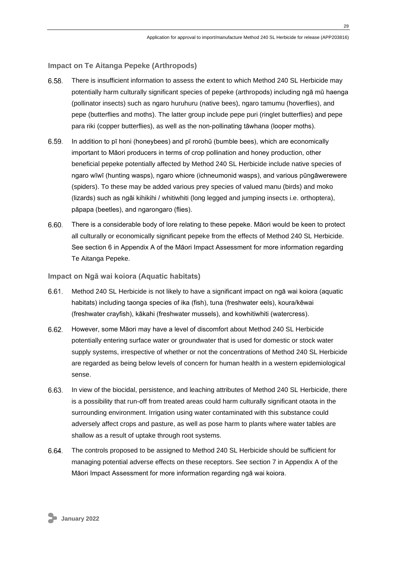### <span id="page-28-0"></span>**Impact on Te Aitanga Pepeke (Arthropods)**

- 6.58. There is insufficient information to assess the extent to which Method 240 SL Herbicide may potentially harm culturally significant species of pepeke (arthropods) including ngā mū haenga (pollinator insects) such as ngaro huruhuru (native bees), ngaro tamumu (hoverflies), and pepe (butterflies and moths). The latter group include pepe puri (ringlet butterflies) and pepe para riki (copper butterflies), as well as the non-pollinating tāwhana (looper moths).
- $6.59.$ In addition to pī honi (honeybees) and pī rorohū (bumble bees), which are economically important to Māori producers in terms of crop pollination and honey production, other beneficial pepeke potentially affected by Method 240 SL Herbicide include native species of ngaro wīwī (hunting wasps), ngaro whiore (ichneumonid wasps), and various pūngāwerewere (spiders). To these may be added various prey species of valued manu (birds) and moko (lizards) such as ngāi kihikihi / whitiwhiti (long legged and jumping insects i.e. orthoptera), pāpapa (beetles), and ngarongaro (flies).
- 6.60. There is a considerable body of lore relating to these pepeke. Māori would be keen to protect all culturally or economically significant pepeke from the effects of Method 240 SL Herbicide. See section 6 in Appendix A of the Māori Impact Assessment for more information regarding Te Aitanga Pepeke.

### <span id="page-28-1"></span>**Impact on Ngā wai koiora (Aquatic habitats)**

- $6.61.$ Method 240 SL Herbicide is not likely to have a significant impact on ngā wai koiora (aquatic habitats) including taonga species of ika (fish), tuna (freshwater eels), koura/kēwai (freshwater crayfish), kākahi (freshwater mussels), and kowhitiwhiti (watercress).
- $6.62.$ However, some Māori may have a level of discomfort about Method 240 SL Herbicide potentially entering surface water or groundwater that is used for domestic or stock water supply systems, irrespective of whether or not the concentrations of Method 240 SL Herbicide are regarded as being below levels of concern for human health in a western epidemiological sense.
- 6.63. In view of the biocidal, persistence, and leaching attributes of Method 240 SL Herbicide, there is a possibility that run-off from treated areas could harm culturally significant otaota in the surrounding environment. Irrigation using water contaminated with this substance could adversely affect crops and pasture, as well as pose harm to plants where water tables are shallow as a result of uptake through root systems.
- $6.64.$ The controls proposed to be assigned to Method 240 SL Herbicide should be sufficient for managing potential adverse effects on these receptors. See section 7 in Appendix A of the Māori Impact Assessment for more information regarding ngā wai koiora.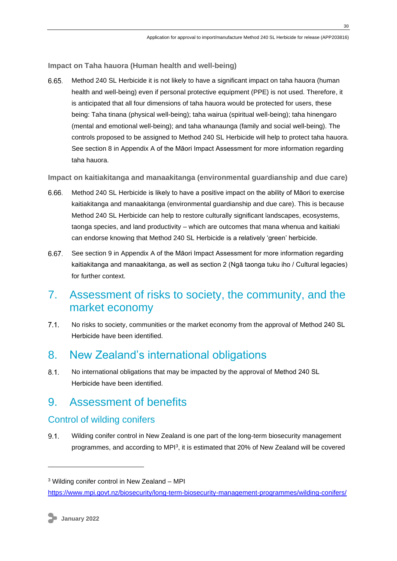<span id="page-29-0"></span>**Impact on Taha hauora (Human health and well-being)**

6.65. Method 240 SL Herbicide it is not likely to have a significant impact on taha hauora (human health and well-being) even if personal protective equipment (PPE) is not used. Therefore, it is anticipated that all four dimensions of taha hauora would be protected for users, these being: Taha tinana (physical well-being); taha wairua (spiritual well-being); taha hinengaro (mental and emotional well-being); and taha whanaunga (family and social well-being). The controls proposed to be assigned to Method 240 SL Herbicide will help to protect taha hauora. See section 8 in Appendix A of the Māori Impact Assessment for more information regarding taha hauora.

<span id="page-29-1"></span>**Impact on kaitiakitanga and manaakitanga (environmental guardianship and due care)**

- 6.66. Method 240 SL Herbicide is likely to have a positive impact on the ability of Māori to exercise kaitiakitanga and manaakitanga (environmental guardianship and due care). This is because Method 240 SL Herbicide can help to restore culturally significant landscapes, ecosystems, taonga species, and land productivity – which are outcomes that mana whenua and kaitiaki can endorse knowing that Method 240 SL Herbicide is a relatively 'green' herbicide.
- 6.67. See section 9 in Appendix A of the Māori Impact Assessment for more information regarding kaitiakitanga and manaakitanga, as well as section 2 (Ngā taonga tuku iho / Cultural legacies) for further context.

# <span id="page-29-2"></span>7. Assessment of risks to society, the community, and the market economy

 $7.1$ No risks to society, communities or the market economy from the approval of Method 240 SL Herbicide have been identified.

# <span id="page-29-3"></span>8. New Zealand's international obligations

 $8.1$ No international obligations that may be impacted by the approval of Method 240 SL Herbicide have been identified.

# <span id="page-29-4"></span>9. Assessment of benefits

## <span id="page-29-5"></span>Control of wilding conifers

 $9.1.$ Wilding conifer control in New Zealand is one part of the long-term biosecurity management programmes, and according to MPI<sup>3</sup>, it is estimated that 20% of New Zealand will be covered

<sup>3</sup> Wilding conifer control in New Zealand – MPI

<https://www.mpi.govt.nz/biosecurity/long-term-biosecurity-management-programmes/wilding-conifers/>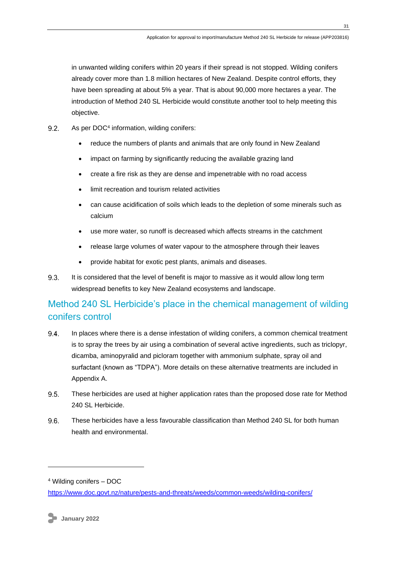in unwanted wilding conifers within 20 years if their spread is not stopped. Wilding conifers already cover more than 1.8 million hectares of New Zealand. Despite control efforts, they have been spreading at about 5% a year. That is about 90,000 more hectares a year. The introduction of Method 240 SL Herbicide would constitute another tool to help meeting this objective.

- $9.2.$ As per DOC<sup>4</sup> information, wilding conifers:
	- reduce the numbers of plants and animals that are only found in New Zealand
	- impact on farming by significantly reducing the available grazing land
	- create a fire risk as they are dense and impenetrable with no road access
	- limit recreation and tourism related activities
	- can cause acidification of soils which leads to the depletion of some minerals such as calcium
	- use more water, so runoff is decreased which affects streams in the catchment
	- release large volumes of water vapour to the atmosphere through their leaves
	- provide habitat for exotic pest plants, animals and diseases.
- $9.3.$ It is considered that the level of benefit is major to massive as it would allow long term widespread benefits to key New Zealand ecosystems and landscape.

# <span id="page-30-0"></span>Method 240 SL Herbicide's place in the chemical management of wilding conifers control

- 94 In places where there is a dense infestation of wilding conifers, a common chemical treatment is to spray the trees by air using a combination of several active ingredients, such as triclopyr, dicamba, aminopyralid and picloram together with ammonium sulphate, spray oil and surfactant (known as "TDPA"). More details on these alternative treatments are included in Appendix A.
- $9.5.$ These herbicides are used at higher application rates than the proposed dose rate for Method 240 SL Herbicide.
- $9.6.$ These herbicides have a less favourable classification than Method 240 SL for both human health and environmental.

<sup>4</sup> Wilding conifers – DOC

<https://www.doc.govt.nz/nature/pests-and-threats/weeds/common-weeds/wilding-conifers/>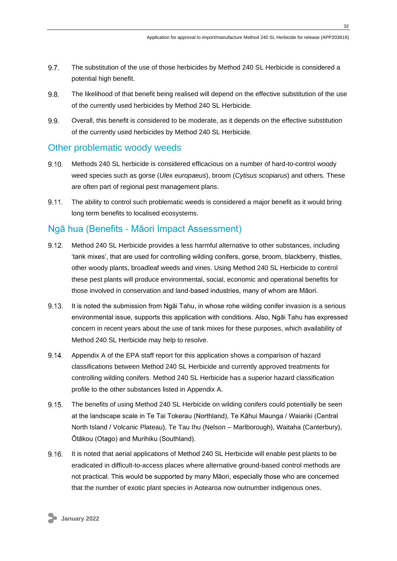- 9.7. The substitution of the use of those herbicides by Method 240 SL Herbicide is considered a potential high benefit.
- 9.8. The likelihood of that benefit being realised will depend on the effective substitution of the use of the currently used herbicides by Method 240 SL Herbicide.
- 9.9. Overall, this benefit is considered to be moderate, as it depends on the effective substitution of the currently used herbicides by Method 240 SL Herbicide.

## <span id="page-31-0"></span>Other problematic woody weeds

- $9.10.$ Methods 240 SL herbicide is considered efficacious on a number of hard-to-control woody weed species such as gorse (*Ulex europaeus*), broom (*Cytisus scopiarus*) and others. These are often part of regional pest management plans.
- $9.11$ The ability to control such problematic weeds is considered a major benefit as it would bring long term benefits to localised ecosystems.

## <span id="page-31-1"></span>Ngā hua (Benefits - Māori Impact Assessment)

- $9.12.$ Method 240 SL Herbicide provides a less harmful alternative to other substances, including 'tank mixes', that are used for controlling wilding conifers, gorse, broom, blackberry, thistles, other woody plants, broadleaf weeds and vines. Using Method 240 SL Herbicide to control these pest plants will produce environmental, social, economic and operational benefits for those involved in conservation and land-based industries, many of whom are Māori.
- $9.13.$ It is noted the submission from Ngāi Tahu, in whose rohe wilding conifer invasion is a serious environmental issue, supports this application with conditions. Also, Ngāi Tahu has expressed concern in recent years about the use of tank mixes for these purposes, which availability of Method 240 SL Herbicide may help to resolve.
- $9.14.$ Appendix A of the EPA staff report for this application shows a comparison of hazard classifications between Method 240 SL Herbicide and currently approved treatments for controlling wilding conifers. Method 240 SL Herbicide has a superior hazard classification profile to the other substances listed in Appendix A.
- The benefits of using Method 240 SL Herbicide on wilding conifers could potentially be seen  $9.15.$ at the landscape scale in Te Tai Tokerau (Northland), Te Kāhui Maunga / Waiariki (Central North Island / Volcanic Plateau), Te Tau Ihu (Nelson – Marlborough), Waitaha (Canterbury), Ōtākou (Otago) and Murihiku (Southland).
- It is noted that aerial applications of Method 240 SL Herbicide will enable pest plants to be  $9.16.$ eradicated in difficult-to-access places where alternative ground-based control methods are not practical. This would be supported by many Māori, especially those who are concerned that the number of exotic plant species in Aotearoa now outnumber indigenous ones.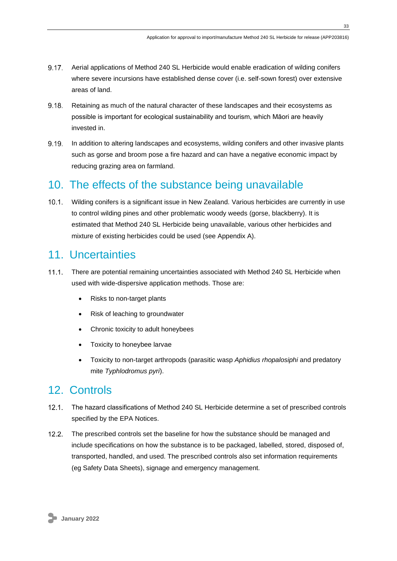- 9.17. Aerial applications of Method 240 SL Herbicide would enable eradication of wilding conifers where severe incursions have established dense cover (i.e. self-sown forest) over extensive areas of land.
- $9.18.$ Retaining as much of the natural character of these landscapes and their ecosystems as possible is important for ecological sustainability and tourism, which Māori are heavily invested in.
- 9.19. In addition to altering landscapes and ecosystems, wilding conifers and other invasive plants such as gorse and broom pose a fire hazard and can have a negative economic impact by reducing grazing area on farmland.

# <span id="page-32-0"></span>10. The effects of the substance being unavailable

 $10.1$ Wilding conifers is a significant issue in New Zealand. Various herbicides are currently in use to control wilding pines and other problematic woody weeds (gorse, blackberry). It is estimated that Method 240 SL Herbicide being unavailable, various other herbicides and mixture of existing herbicides could be used (see Appendix A).

# <span id="page-32-1"></span>11. Uncertainties

- $11.1.$ There are potential remaining uncertainties associated with Method 240 SL Herbicide when used with wide-dispersive application methods. Those are:
	- Risks to non-target plants
	- Risk of leaching to groundwater
	- Chronic toxicity to adult honeybees
	- Toxicity to honeybee larvae
	- Toxicity to non-target arthropods (parasitic wasp *Aphidius rhopalosiphi* and predatory mite *Typhlodromus pyri*).

# <span id="page-32-2"></span>12. Controls

- $12.1$ The hazard classifications of Method 240 SL Herbicide determine a set of prescribed controls specified by the EPA Notices.
- $12.2$ The prescribed controls set the baseline for how the substance should be managed and include specifications on how the substance is to be packaged, labelled, stored, disposed of, transported, handled, and used. The prescribed controls also set information requirements (eg Safety Data Sheets), signage and emergency management.

**33**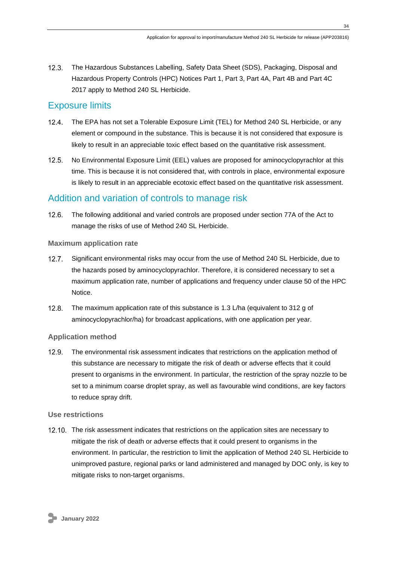12.3. The Hazardous Substances Labelling, Safety Data Sheet (SDS), Packaging, Disposal and Hazardous Property Controls (HPC) Notices Part 1, Part 3, Part 4A, Part 4B and Part 4C 2017 apply to Method 240 SL Herbicide.

## <span id="page-33-0"></span>Exposure limits

- The EPA has not set a Tolerable Exposure Limit (TEL) for Method 240 SL Herbicide, or any element or compound in the substance. This is because it is not considered that exposure is likely to result in an appreciable toxic effect based on the quantitative risk assessment.
- $12.5.$ No Environmental Exposure Limit (EEL) values are proposed for aminocyclopyrachlor at this time. This is because it is not considered that, with controls in place, environmental exposure is likely to result in an appreciable ecotoxic effect based on the quantitative risk assessment.

## <span id="page-33-1"></span>Addition and variation of controls to manage risk

 $12.6.$ The following additional and varied controls are proposed under section 77A of the Act to manage the risks of use of Method 240 SL Herbicide.

### <span id="page-33-2"></span>**Maximum application rate**

- $12.7$ Significant environmental risks may occur from the use of Method 240 SL Herbicide, due to the hazards posed by aminocyclopyrachlor. Therefore, it is considered necessary to set a maximum application rate, number of applications and frequency under clause 50 of the HPC Notice.
- $12.8.$ The maximum application rate of this substance is 1.3 L/ha (equivalent to 312 g of aminocyclopyrachlor/ha) for broadcast applications, with one application per year.

## <span id="page-33-3"></span>**Application method**

 $12.9.$ The environmental risk assessment indicates that restrictions on the application method of this substance are necessary to mitigate the risk of death or adverse effects that it could present to organisms in the environment. In particular, the restriction of the spray nozzle to be set to a minimum coarse droplet spray, as well as favourable wind conditions, are key factors to reduce spray drift.

### <span id="page-33-4"></span>**Use restrictions**

12.10. The risk assessment indicates that restrictions on the application sites are necessary to mitigate the risk of death or adverse effects that it could present to organisms in the environment. In particular, the restriction to limit the application of Method 240 SL Herbicide to unimproved pasture, regional parks or land administered and managed by DOC only, is key to mitigate risks to non-target organisms.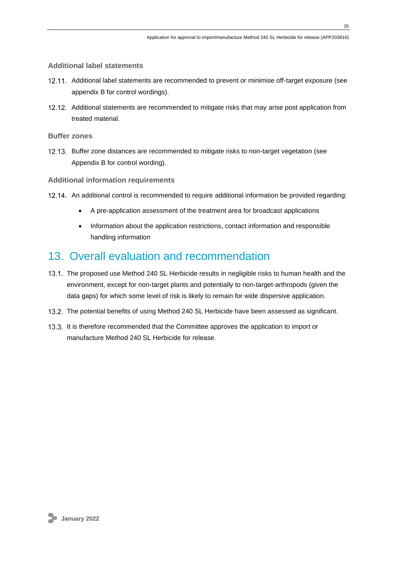<span id="page-34-0"></span>**Additional label statements**

- 12.11. Additional label statements are recommended to prevent or minimise off-target exposure (see appendix B for control wordings).
- 12.12. Additional statements are recommended to mitigate risks that may arise post application from treated material.

<span id="page-34-1"></span>**Buffer zones**

12.13. Buffer zone distances are recommended to mitigate risks to non-target vegetation (see Appendix B for control wording).

<span id="page-34-2"></span>**Additional information requirements**

- 12.14. An additional control is recommended to require additional information be provided regarding:
	- A pre-application assessment of the treatment area for broadcast applications
	- Information about the application restrictions, contact information and responsible handling information

# <span id="page-34-3"></span>13. Overall evaluation and recommendation

- 13.1. The proposed use Method 240 SL Herbicide results in negligible risks to human health and the environment, except for non-target plants and potentially to non-target-arthropods (given the data gaps) for which some level of risk is likely to remain for wide dispersive application.
- 13.2. The potential benefits of using Method 240 SL Herbicide have been assessed as significant.
- 13.3. It is therefore recommended that the Committee approves the application to import or manufacture Method 240 SL Herbicide for release.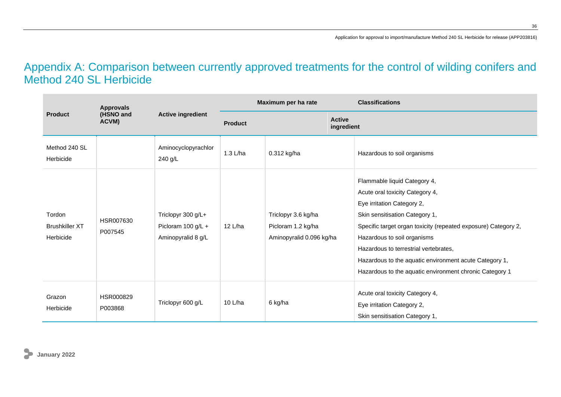# Appendix A: Comparison between currently approved treatments for the control of wilding conifers and Method 240 SL Herbicide

<span id="page-35-0"></span>

| <b>Approvals</b>                             |                      |                                                                |                | Maximum per ha rate                                                   | <b>Classifications</b>                                                                                                                                                                                                                                                                                                                                                                         |
|----------------------------------------------|----------------------|----------------------------------------------------------------|----------------|-----------------------------------------------------------------------|------------------------------------------------------------------------------------------------------------------------------------------------------------------------------------------------------------------------------------------------------------------------------------------------------------------------------------------------------------------------------------------------|
| <b>Product</b>                               | (HSNO and<br>ACVM)   | <b>Active ingredient</b>                                       | <b>Product</b> | <b>Active</b><br>ingredient                                           |                                                                                                                                                                                                                                                                                                                                                                                                |
| Method 240 SL<br>Herbicide                   |                      | Aminocyclopyrachlor<br>240 g/L                                 | 1.3 L/ha       | 0.312 kg/ha                                                           | Hazardous to soil organisms                                                                                                                                                                                                                                                                                                                                                                    |
| Tordon<br><b>Brushkiller XT</b><br>Herbicide | HSR007630<br>P007545 | Triclopyr 300 g/L+<br>Picloram 100 g/L +<br>Aminopyralid 8 g/L | 12 L/ha        | Triclopyr 3.6 kg/ha<br>Picloram 1.2 kg/ha<br>Aminopyralid 0.096 kg/ha | Flammable liquid Category 4,<br>Acute oral toxicity Category 4,<br>Eye irritation Category 2,<br>Skin sensitisation Category 1,<br>Specific target organ toxicity (repeated exposure) Category 2,<br>Hazardous to soil organisms<br>Hazardous to terrestrial vertebrates,<br>Hazardous to the aquatic environment acute Category 1,<br>Hazardous to the aquatic environment chronic Category 1 |
| Grazon<br>Herbicide                          | HSR000829<br>P003868 | Triclopyr 600 g/L                                              | 10 L/ha        | 6 kg/ha                                                               | Acute oral toxicity Category 4,<br>Eye irritation Category 2,<br>Skin sensitisation Category 1,                                                                                                                                                                                                                                                                                                |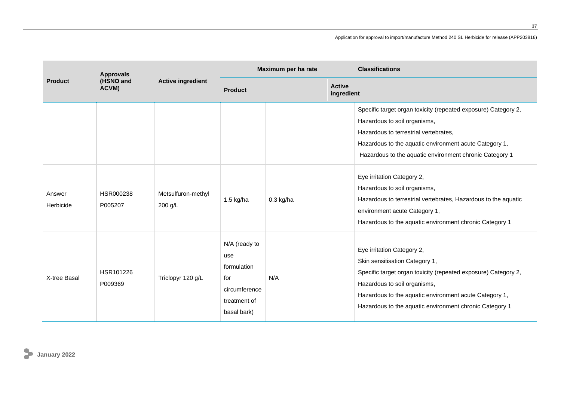|                     | <b>Approvals</b><br>(HSNO and<br>ACVM) | <b>Active ingredient</b>      | Maximum per ha rate                                                                        |                             | <b>Classifications</b>                                                                                                                                                                                                                                                              |
|---------------------|----------------------------------------|-------------------------------|--------------------------------------------------------------------------------------------|-----------------------------|-------------------------------------------------------------------------------------------------------------------------------------------------------------------------------------------------------------------------------------------------------------------------------------|
| <b>Product</b>      |                                        |                               | <b>Product</b>                                                                             | <b>Active</b><br>ingredient |                                                                                                                                                                                                                                                                                     |
|                     |                                        |                               |                                                                                            |                             | Specific target organ toxicity (repeated exposure) Category 2,<br>Hazardous to soil organisms,<br>Hazardous to terrestrial vertebrates,<br>Hazardous to the aquatic environment acute Category 1,<br>Hazardous to the aquatic environment chronic Category 1                        |
| Answer<br>Herbicide | HSR000238<br>P005207                   | Metsulfuron-methyl<br>200 g/L | $1.5$ kg/ha                                                                                | $0.3$ kg/ha                 | Eye irritation Category 2,<br>Hazardous to soil organisms,<br>Hazardous to terrestrial vertebrates, Hazardous to the aquatic<br>environment acute Category 1,<br>Hazardous to the aquatic environment chronic Category 1                                                            |
| X-tree Basal        | HSR101226<br>P009369                   | Triclopyr 120 g/L             | N/A (ready to<br>use<br>formulation<br>for<br>circumference<br>treatment of<br>basal bark) | N/A                         | Eye irritation Category 2,<br>Skin sensitisation Category 1,<br>Specific target organ toxicity (repeated exposure) Category 2,<br>Hazardous to soil organisms,<br>Hazardous to the aquatic environment acute Category 1,<br>Hazardous to the aquatic environment chronic Category 1 |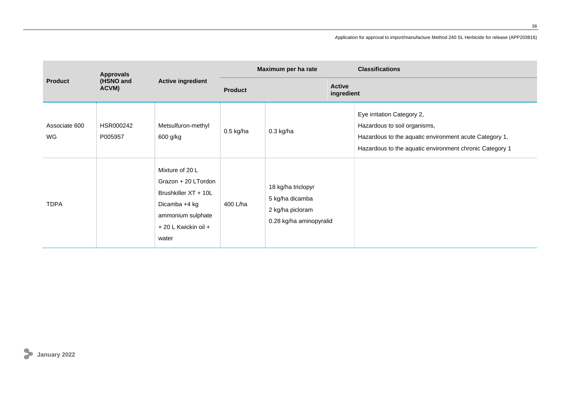|                                      | <b>Approvals</b>     |                                                                                                                                       |                | Maximum per ha rate                                                                  | <b>Classifications</b>                                                                                                                                                          |
|--------------------------------------|----------------------|---------------------------------------------------------------------------------------------------------------------------------------|----------------|--------------------------------------------------------------------------------------|---------------------------------------------------------------------------------------------------------------------------------------------------------------------------------|
| (HSNO and<br><b>Product</b><br>ACVM) |                      | <b>Active ingredient</b>                                                                                                              | <b>Product</b> | <b>Active</b><br>ingredient                                                          |                                                                                                                                                                                 |
| Associate 600<br>WG                  | HSR000242<br>P005957 | Metsulfuron-methyl<br>600 g/kg                                                                                                        | $0.5$ kg/ha    | $0.3$ kg/ha                                                                          | Eye irritation Category 2,<br>Hazardous to soil organisms,<br>Hazardous to the aquatic environment acute Category 1,<br>Hazardous to the aquatic environment chronic Category 1 |
| <b>TDPA</b>                          |                      | Mixture of 20 L<br>Grazon + 20 LTordon<br>Brushkiller XT + 10L<br>Dicamba +4 kg<br>ammonium sulphate<br>+ 20 L Kwickin oil +<br>water | 400 L/ha       | 18 kg/ha triclopyr<br>5 kg/ha dicamba<br>2 kg/ha picloram<br>0.28 kg/ha aminopyralid |                                                                                                                                                                                 |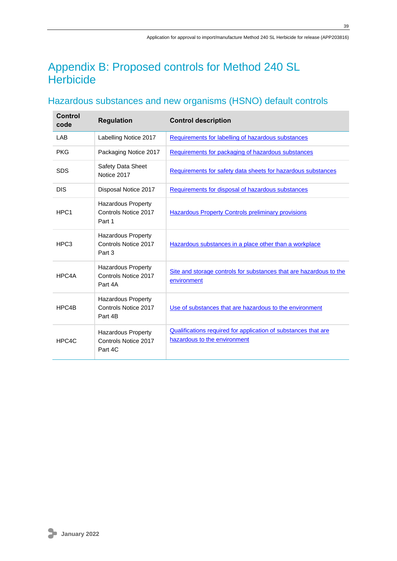# <span id="page-38-0"></span>Appendix B: Proposed controls for Method 240 SL **Herbicide**

# <span id="page-38-1"></span>Hazardous substances and new organisms (HSNO) default controls

| <b>Control</b><br>code | <b>Regulation</b>                                            | <b>Control description</b>                                                                     |
|------------------------|--------------------------------------------------------------|------------------------------------------------------------------------------------------------|
| LAB                    | Labelling Notice 2017                                        | Requirements for labelling of hazardous substances                                             |
| <b>PKG</b>             | Packaging Notice 2017                                        | Requirements for packaging of hazardous substances                                             |
| <b>SDS</b>             | <b>Safety Data Sheet</b><br>Notice 2017                      | Requirements for safety data sheets for hazardous substances                                   |
| <b>DIS</b>             | Disposal Notice 2017                                         | Requirements for disposal of hazardous substances                                              |
| HPC <sub>1</sub>       | <b>Hazardous Property</b><br>Controls Notice 2017<br>Part 1  | <b>Hazardous Property Controls preliminary provisions</b>                                      |
| HPC <sub>3</sub>       | <b>Hazardous Property</b><br>Controls Notice 2017<br>Part 3  | Hazardous substances in a place other than a workplace                                         |
| HPC4A                  | Hazardous Property<br>Controls Notice 2017<br>Part 4A        | Site and storage controls for substances that are hazardous to the<br>environment              |
| HPC4B                  | <b>Hazardous Property</b><br>Controls Notice 2017<br>Part 4B | Use of substances that are hazardous to the environment                                        |
| HPC4C                  | <b>Hazardous Property</b><br>Controls Notice 2017<br>Part 4C | Qualifications required for application of substances that are<br>hazardous to the environment |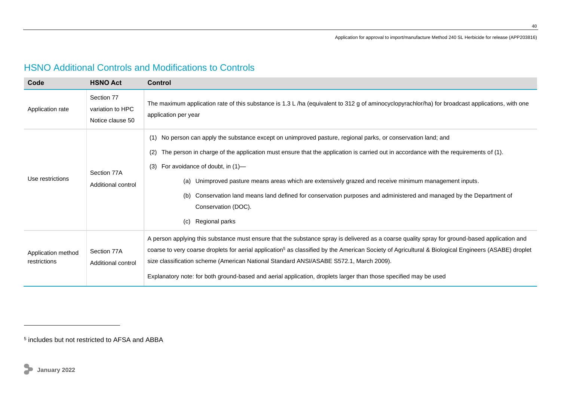| Code                               | <b>HSNO Act</b>                                    | <b>Control</b>                                                                                                                                                                                                                                                                                                                                                                                                                                                                                                                                                                                |
|------------------------------------|----------------------------------------------------|-----------------------------------------------------------------------------------------------------------------------------------------------------------------------------------------------------------------------------------------------------------------------------------------------------------------------------------------------------------------------------------------------------------------------------------------------------------------------------------------------------------------------------------------------------------------------------------------------|
| Application rate                   | Section 77<br>variation to HPC<br>Notice clause 50 | The maximum application rate of this substance is 1.3 L/ha (equivalent to 312 g of aminocyclopyrachlor/ha) for broadcast applications, with one<br>application per year                                                                                                                                                                                                                                                                                                                                                                                                                       |
| Use restrictions                   | Section 77A<br>Additional control                  | (1) No person can apply the substance except on unimproved pasture, regional parks, or conservation land; and<br>The person in charge of the application must ensure that the application is carried out in accordance with the requirements of (1).<br>(2)<br>For avoidance of doubt, in (1)-<br>(3)<br>Unimproved pasture means areas which are extensively grazed and receive minimum management inputs.<br>(a)<br>Conservation land means land defined for conservation purposes and administered and managed by the Department of<br>(b)<br>Conservation (DOC).<br>Regional parks<br>(c) |
| Application method<br>restrictions | Section 77A<br>Additional control                  | A person applying this substance must ensure that the substance spray is delivered as a coarse quality spray for ground-based application and<br>coarse to very coarse droplets for aerial application <sup>5</sup> as classified by the American Society of Agricultural & Biological Engineers (ASABE) droplet<br>size classification scheme (American National Standard ANSI/ASABE S572.1, March 2009).<br>Explanatory note: for both ground-based and aerial application, droplets larger than those specified may be used                                                                |

<span id="page-39-0"></span><sup>5</sup> includes but not restricted to AFSA and ABBA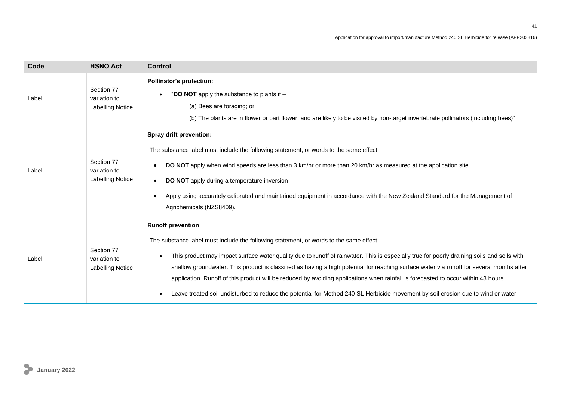| Code  | <b>HSNO Act</b>                                       | <b>Control</b>                                                                                                                                                                                                                                                                                                                                                                                                                                                                                                                                                                                                                                                                         |
|-------|-------------------------------------------------------|----------------------------------------------------------------------------------------------------------------------------------------------------------------------------------------------------------------------------------------------------------------------------------------------------------------------------------------------------------------------------------------------------------------------------------------------------------------------------------------------------------------------------------------------------------------------------------------------------------------------------------------------------------------------------------------|
| Label | Section 77<br>variation to<br><b>Labelling Notice</b> | <b>Pollinator's protection:</b><br>"DO NOT apply the substance to plants if -<br>(a) Bees are foraging; or<br>(b) The plants are in flower or part flower, and are likely to be visited by non-target invertebrate pollinators (including bees)"                                                                                                                                                                                                                                                                                                                                                                                                                                       |
| Label | Section 77<br>variation to<br><b>Labelling Notice</b> | Spray drift prevention:<br>The substance label must include the following statement, or words to the same effect:<br>DO NOT apply when wind speeds are less than 3 km/hr or more than 20 km/hr as measured at the application site<br><b>DO NOT</b> apply during a temperature inversion<br>Apply using accurately calibrated and maintained equipment in accordance with the New Zealand Standard for the Management of<br>Agrichemicals (NZS8409).                                                                                                                                                                                                                                   |
| Label | Section 77<br>variation to<br>Labelling Notice        | <b>Runoff prevention</b><br>The substance label must include the following statement, or words to the same effect:<br>This product may impact surface water quality due to runoff of rainwater. This is especially true for poorly draining soils and soils with<br>shallow groundwater. This product is classified as having a high potential for reaching surface water via runoff for several months after<br>application. Runoff of this product will be reduced by avoiding applications when rainfall is forecasted to occur within 48 hours<br>Leave treated soil undisturbed to reduce the potential for Method 240 SL Herbicide movement by soil erosion due to wind or water |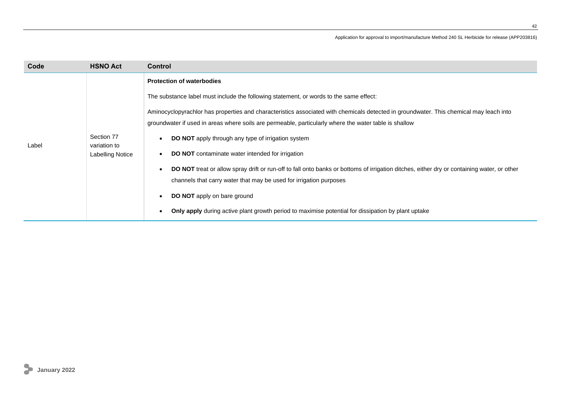| Code  | <b>HSNO Act</b>                                       | <b>Control</b>                                                                                                                                                                                                                                                                                                                                                                                                                                                                                                                                                                                                                                                                                                                                                                                                                                                        |
|-------|-------------------------------------------------------|-----------------------------------------------------------------------------------------------------------------------------------------------------------------------------------------------------------------------------------------------------------------------------------------------------------------------------------------------------------------------------------------------------------------------------------------------------------------------------------------------------------------------------------------------------------------------------------------------------------------------------------------------------------------------------------------------------------------------------------------------------------------------------------------------------------------------------------------------------------------------|
| Label | Section 77<br>variation to<br><b>Labelling Notice</b> | <b>Protection of waterbodies</b><br>The substance label must include the following statement, or words to the same effect:<br>Aminocyclopyrachlor has properties and characteristics associated with chemicals detected in groundwater. This chemical may leach into<br>groundwater if used in areas where soils are permeable, particularly where the water table is shallow<br>DO NOT apply through any type of irrigation system<br><b>DO NOT</b> contaminate water intended for irrigation<br>DO NOT treat or allow spray drift or run-off to fall onto banks or bottoms of irrigation ditches, either dry or containing water, or other<br>channels that carry water that may be used for irrigation purposes<br><b>DO NOT</b> apply on bare ground<br><b>Only apply</b> during active plant growth period to maximise potential for dissipation by plant uptake |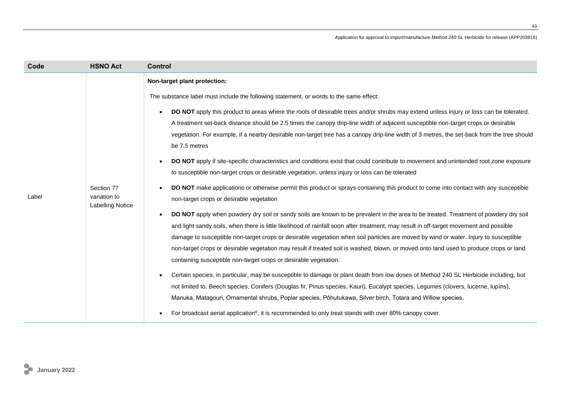| Code  | <b>HSNO Act</b>                                       | <b>Control</b>                                                                                                                                                                                                                                                                                                                                                                                                                                                                                                                                                                                                                                                                                                                                                                                                                                                                                                                                                                                                                                                                                                                                                                                                                                                                                                                                                                                                                                                                                                                                                                                                                                                                                                                                                                                                                                                                                                                                                                                                                                                                                                                                                     |
|-------|-------------------------------------------------------|--------------------------------------------------------------------------------------------------------------------------------------------------------------------------------------------------------------------------------------------------------------------------------------------------------------------------------------------------------------------------------------------------------------------------------------------------------------------------------------------------------------------------------------------------------------------------------------------------------------------------------------------------------------------------------------------------------------------------------------------------------------------------------------------------------------------------------------------------------------------------------------------------------------------------------------------------------------------------------------------------------------------------------------------------------------------------------------------------------------------------------------------------------------------------------------------------------------------------------------------------------------------------------------------------------------------------------------------------------------------------------------------------------------------------------------------------------------------------------------------------------------------------------------------------------------------------------------------------------------------------------------------------------------------------------------------------------------------------------------------------------------------------------------------------------------------------------------------------------------------------------------------------------------------------------------------------------------------------------------------------------------------------------------------------------------------------------------------------------------------------------------------------------------------|
| Label | Section 77<br>variation to<br><b>Labelling Notice</b> | Non-target plant protection:<br>The substance label must include the following statement, or words to the same effect:<br>DO NOT apply this product to areas where the roots of desirable trees and/or shrubs may extend unless injury or loss can be tolerated.<br>A treatment set-back distance should be 2.5 times the canopy drip-line width of adjacent susceptible non-target crops or desirable<br>vegetation. For example, if a nearby desirable non-target tree has a canopy drip-line width of 3 metres, the set-back from the tree should<br>be 7.5 metres<br>DO NOT apply if site-specific characteristics and conditions exist that could contribute to movement and unintended root zone exposure<br>to susceptible non-target crops or desirable vegetation, unless injury or loss can be tolerated<br>DO NOT make applications or otherwise permit this product or sprays containing this product to come into contact with any susceptible<br>non-target crops or desirable vegetation<br>DO NOT apply when powdery dry soil or sandy soils are known to be prevalent in the area to be treated. Treatment of powdery dry soil<br>and light sandy soils, when there is little likelihood of rainfall soon after treatment, may result in off-target movement and possible<br>damage to susceptible non-target crops or desirable vegetation when soil particles are moved by wind or water. Injury to susceptible<br>non-target crops or desirable vegetation may result if treated soil is washed, blown, or moved onto land used to produce crops or land<br>containing susceptible non-target crops or desirable vegetation.<br>Certain species, in particular, may be susceptible to damage or plant death from low doses of Method 240 SL Herbicide including, but<br>not limited to, Beech species, Conifers (Douglas fir, Pinus species, Kauri), Eucalypt species, Legumes (clovers, lucerne, lupins),<br>Manuka, Matagouri, Ornamental shrubs, Poplar species, Pōhutukawa, Silver birch, Totara and Willow species.<br>For broadcast aerial application <sup>6</sup> , it is recommended to only treat stands with over 80% canopy cover. |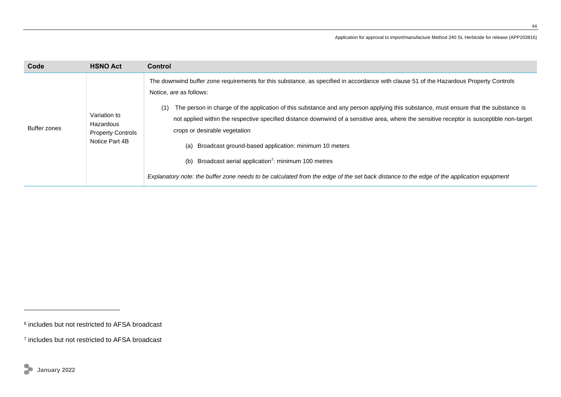| The downwind buffer zone requirements for this substance, as specified in accordance with clause 51 of the Hazardous Property Controls<br>Notice, are as follows:<br>(1)<br>Variation to<br>Hazardous<br>Buffer zones<br>crops or desirable vegetation<br><b>Property Controls</b><br>Notice Part 4B<br>(a) Broadcast ground-based application: minimum 10 meters<br>(b) Broadcast aerial application <sup>7</sup> : minimum 100 metres<br>Explanatory note: the buffer zone needs to be calculated from the edge of the set back distance to the edge of the application equipment | The person in charge of the application of this substance and any person applying this substance, must ensure that the substance is<br>not applied within the respective specified distance downwind of a sensitive area, where the sensitive receptor is susceptible non-target |
|-------------------------------------------------------------------------------------------------------------------------------------------------------------------------------------------------------------------------------------------------------------------------------------------------------------------------------------------------------------------------------------------------------------------------------------------------------------------------------------------------------------------------------------------------------------------------------------|----------------------------------------------------------------------------------------------------------------------------------------------------------------------------------------------------------------------------------------------------------------------------------|

<sup>6</sup> includes but not restricted to AFSA broadcast

<sup>7</sup> includes but not restricted to AFSA broadcast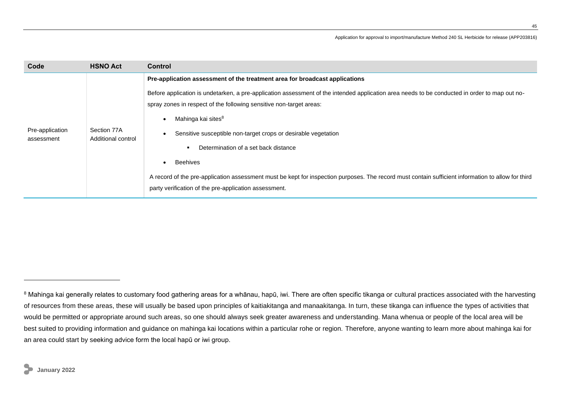| Code                          | <b>HSNO Act</b>                   | <b>Control</b>                                                                                                                                                                                                                                                                                                                                                                                                                                                                                                                                                                                                                                                                    |
|-------------------------------|-----------------------------------|-----------------------------------------------------------------------------------------------------------------------------------------------------------------------------------------------------------------------------------------------------------------------------------------------------------------------------------------------------------------------------------------------------------------------------------------------------------------------------------------------------------------------------------------------------------------------------------------------------------------------------------------------------------------------------------|
| Pre-application<br>assessment | Section 77A<br>Additional control | Pre-application assessment of the treatment area for broadcast applications<br>Before application is undetarken, a pre-application assessment of the intended application area needs to be conducted in order to map out no-<br>spray zones in respect of the following sensitive non-target areas:<br>Mahinga kai sites <sup>8</sup><br>Sensitive susceptible non-target crops or desirable vegetation<br>Determination of a set back distance<br><b>Beehives</b><br>A record of the pre-application assessment must be kept for inspection purposes. The record must contain sufficient information to allow for third<br>party verification of the pre-application assessment. |

<sup>&</sup>lt;sup>8</sup> Mahinga kai generally relates to customary food gathering areas for a whānau, hapū, iwi. There are often specific tikanga or cultural practices associated with the harvesting of resources from these areas, these will usually be based upon principles of kaitiakitanga and manaakitanga. In turn, these tikanga can influence the types of activities that would be permitted or appropriate around such areas, so one should always seek greater awareness and understanding. Mana whenua or people of the local area will be best suited to providing information and guidance on mahinga kai locations within a particular rohe or region. Therefore, anyone wanting to learn more about mahinga kai for an area could start by seeking advice form the local hapū or iwi group.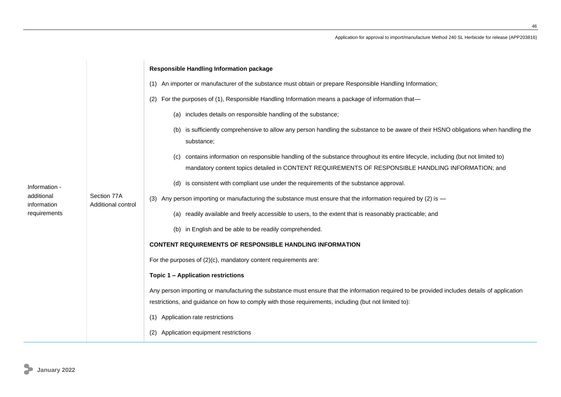|                                                            |                                   | Responsible Handling Information package                                                                                                                                                                                                   |
|------------------------------------------------------------|-----------------------------------|--------------------------------------------------------------------------------------------------------------------------------------------------------------------------------------------------------------------------------------------|
| Information -<br>additional<br>information<br>requirements | Section 77A<br>Additional control | (1) An importer or manufacturer of the substance must obtain or prepare Responsible Handling Information;                                                                                                                                  |
|                                                            |                                   | (2) For the purposes of (1), Responsible Handling Information means a package of information that—                                                                                                                                         |
|                                                            |                                   | (a) includes details on responsible handling of the substance;                                                                                                                                                                             |
|                                                            |                                   | (b) is sufficiently comprehensive to allow any person handling the substance to be aware of their HSNO obligations when handling the<br>substance;                                                                                         |
|                                                            |                                   | contains information on responsible handling of the substance throughout its entire lifecycle, including (but not limited to)<br>(C)<br>mandatory content topics detailed in CONTENT REQUIREMENTS OF RESPONSIBLE HANDLING INFORMATION; and |
|                                                            |                                   | (d) is consistent with compliant use under the requirements of the substance approval.                                                                                                                                                     |
|                                                            |                                   | (3) Any person importing or manufacturing the substance must ensure that the information required by (2) is -                                                                                                                              |
|                                                            |                                   | (a) readily available and freely accessible to users, to the extent that is reasonably practicable; and                                                                                                                                    |
|                                                            |                                   | (b) in English and be able to be readily comprehended.                                                                                                                                                                                     |
|                                                            |                                   | <b>CONTENT REQUIREMENTS OF RESPONSIBLE HANDLING INFORMATION</b>                                                                                                                                                                            |
|                                                            |                                   | For the purposes of $(2)(c)$ , mandatory content requirements are:                                                                                                                                                                         |
|                                                            |                                   | <b>Topic 1 - Application restrictions</b>                                                                                                                                                                                                  |
|                                                            |                                   | Any person importing or manufacturing the substance must ensure that the information required to be provided includes details of application                                                                                               |
|                                                            |                                   | restrictions, and guidance on how to comply with those requirements, including (but not limited to):                                                                                                                                       |
|                                                            |                                   | (1) Application rate restrictions                                                                                                                                                                                                          |
|                                                            |                                   | (2) Application equipment restrictions                                                                                                                                                                                                     |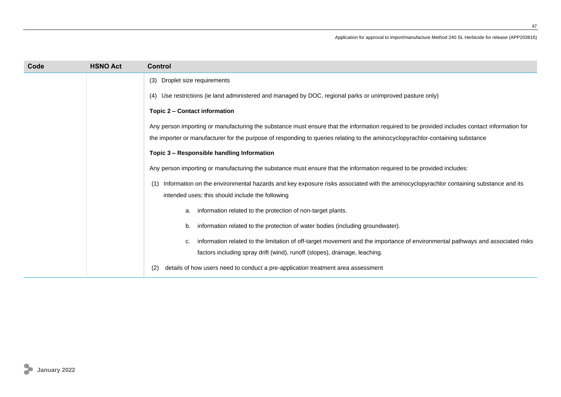| Code | <b>HSNO Act</b> | <b>Control</b>                                                                                                                                |
|------|-----------------|-----------------------------------------------------------------------------------------------------------------------------------------------|
|      |                 | Droplet size requirements<br>(3)                                                                                                              |
|      |                 | Use restrictions (ie land administered and managed by DOC, regional parks or unimproved pasture only)<br>(4)                                  |
|      |                 | Topic 2 - Contact information                                                                                                                 |
|      |                 | Any person importing or manufacturing the substance must ensure that the information required to be provided includes contact information for |
|      |                 | the importer or manufacturer for the purpose of responding to queries relating to the aminocyclopyrachlor-containing substance                |
|      |                 | Topic 3 - Responsible handling Information                                                                                                    |
|      |                 | Any person importing or manufacturing the substance must ensure that the information required to be provided includes:                        |
|      |                 | Information on the environmental hazards and key exposure risks associated with the aminocyclopyrachlor containing substance and its          |
|      |                 | intended uses; this should include the following                                                                                              |
|      |                 | information related to the protection of non-target plants.<br>a.                                                                             |
|      |                 | information related to the protection of water bodies (including groundwater).<br>b.                                                          |
|      |                 | information related to the limitation of off-target movement and the importance of environmental pathways and associated risks<br>c.          |
|      |                 | factors including spray drift (wind), runoff (slopes), drainage, leaching.                                                                    |
|      |                 | details of how users need to conduct a pre-application treatment area assessment<br>(2)                                                       |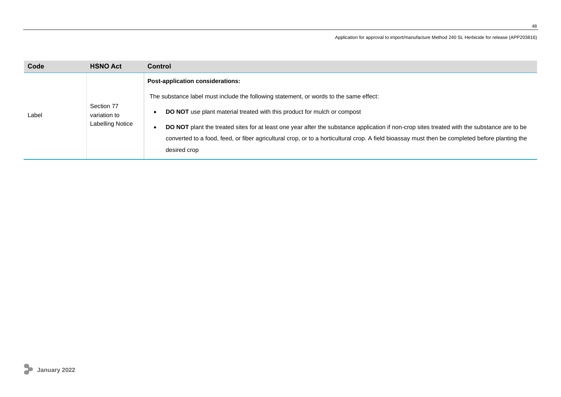| Code  | <b>HSNO Act</b>                                       | <b>Control</b>                                                                                                                                                                                                                                                                                                                                                                                                                                                                                                                 |
|-------|-------------------------------------------------------|--------------------------------------------------------------------------------------------------------------------------------------------------------------------------------------------------------------------------------------------------------------------------------------------------------------------------------------------------------------------------------------------------------------------------------------------------------------------------------------------------------------------------------|
| Label | Section 77<br>variation to<br><b>Labelling Notice</b> | Post-application considerations:<br>The substance label must include the following statement, or words to the same effect:<br><b>DO NOT</b> use plant material treated with this product for mulch or compost<br>DO NOT plant the treated sites for at least one year after the substance application if non-crop sites treated with the substance are to be<br>converted to a food, feed, or fiber agricultural crop, or to a horticultural crop. A field bioassay must then be completed before planting the<br>desired crop |
|       |                                                       |                                                                                                                                                                                                                                                                                                                                                                                                                                                                                                                                |